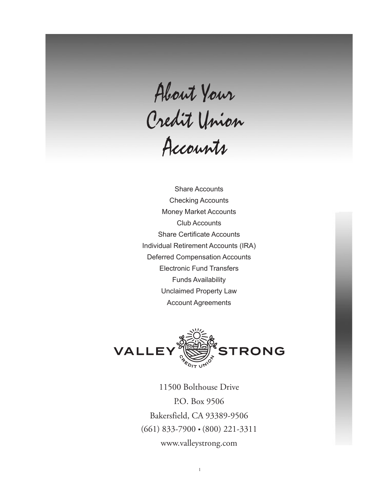About Your<br>Credit Union<br>Accounts

Share Accounts Checking Accounts Money Market Accounts Club Accounts Share Certificate Accounts Individual Retirement Accounts (IRA) Deferred Compensation Accounts Electronic Fund Transfers Funds Availability Unclaimed Property Law Account Agreements



11500 Bolthouse Drive P.O. Box 9506 Bakersfield, CA 93389-9506 (661) 833-7900 • (800) 221-3311 www.valleystrong.com

1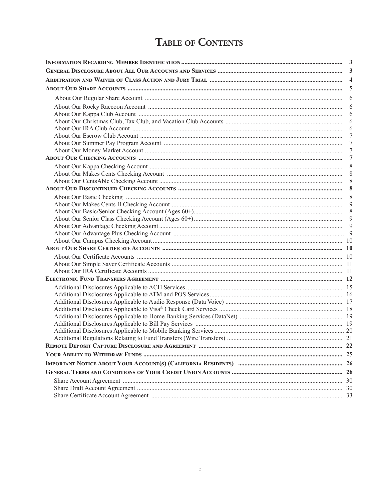## TABLE OF CONTENTS

| 6              |
|----------------|
| 6              |
| 6              |
| 6              |
| 6              |
| 7              |
| $\overline{7}$ |
| $\overline{7}$ |
| $\overline{7}$ |
| 8              |
| 8              |
| -8             |
|                |
|                |
| 9              |
|                |
|                |
|                |
|                |
|                |
|                |
|                |
|                |
|                |
|                |
|                |
|                |
|                |
|                |
|                |
|                |
|                |
|                |
|                |
|                |
|                |
|                |
|                |
|                |
|                |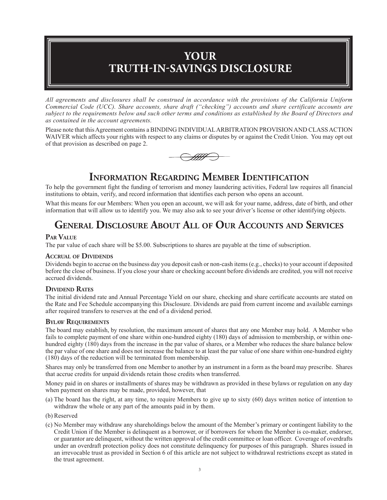## **YOUR YOUR TRUTH-IN-SAVINGS DISCLOSURE TRUTH-IN-SAVINGS DISCLOSURE**

*All agreements and disclosures shall be construed in accordance with the provisions of the California Uniform Commercial Code (UCC). Share accounts, share draft ("checking") accounts and share certificate accounts are subject to the requirements below and such other terms and conditions as established by the Board of Directors and as contained in the account agreements.*

Please note that this Agreement contains a BINDING INDIVIDUAL ARBITRATION PROVISION AND CLASS ACTION WAIVER which affects your rights with respect to any claims or disputes by or against the Credit Union. You may opt out of that provision as described on page 2.



## **INFORMATION REGARDING MEMBER IDENTIFICATION**

To help the government fight the funding of terrorism and money laundering activities, Federal law requires all financial institutions to obtain, verify, and record information that identifies each person who opens an account.

What this means for our Members: When you open an account, we will ask for your name, address, date of birth, and other information that will allow us to identify you. We may also ask to see your driver's license or other identifying objects.

## **General Disclosure About All of Our Accounts and Services**

#### **Par Value**

The par value of each share will be \$5.00. Subscriptions to shares are payable at the time of subscription.

#### **Accrual of Dividends**

Dividends begin to accrue on the business day you deposit cash or non-cash items (e.g., checks) to your account if deposited before the close of business. If you close your share or checking account before dividends are credited, you will not receive accrued dividends.

#### **Dividend Rates**

The initial dividend rate and Annual Percentage Yield on our share, checking and share certificate accounts are stated on the Rate and Fee Schedule accompanying this Disclosure. Dividends are paid from current income and available earnings after required transfers to reserves at the end of a dividend period.

#### **Bylaw Requirements**

The board may establish, by resolution, the maximum amount of shares that any one Member may hold. A Member who fails to complete payment of one share within one-hundred eighty (180) days of admission to membership, or within onehundred eighty (180) days from the increase in the par value of shares, or a Member who reduces the share balance below the par value of one share and does not increase the balance to at least the par value of one share within one-hundred eighty (180) days of the reduction will be terminated from membership.

Shares may only be transferred from one Member to another by an instrument in a form as the board may prescribe. Shares that accrue credits for unpaid dividends retain those credits when transferred.

Money paid in on shares or installments of shares may be withdrawn as provided in these bylaws or regulation on any day when payment on shares may be made, provided, however, that

- (a) The board has the right, at any time, to require Members to give up to sixty (60) days written notice of intention to withdraw the whole or any part of the amounts paid in by them.
- (b) Reserved
- (c) No Member may withdraw any shareholdings below the amount of the Member's primary or contingent liability to the Credit Union if the Member is delinquent as a borrower, or if borrowers for whom the Member is co-maker, endorser, or guarantor are delinquent, without the written approval of the credit committee or loan officer. Coverage of overdrafts under an overdraft protection policy does not constitute delinquency for purposes of this paragraph. Shares issued in an irrevocable trust as provided in Section 6 of this article are not subject to withdrawal restrictions except as stated in the trust agreement.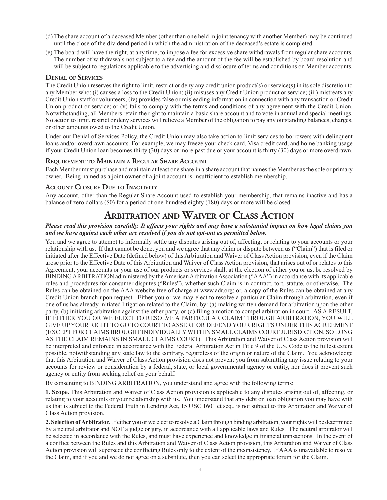- (d) The share account of a deceased Member (other than one held in joint tenancy with another Member) may be continued until the close of the dividend period in which the administration of the deceased's estate is completed.
- (e) The board will have the right, at any time, to impose a fee for excessive share withdrawals from regular share accounts. The number of withdrawals not subject to a fee and the amount of the fee will be established by board resolution and will be subject to regulations applicable to the advertising and disclosure of terms and conditions on Member accounts.

#### **Denial of Services**

The Credit Union reserves the right to limit, restrict or deny any credit union product(s) or service(s) in its sole discretion to any Member who: (i) causes a loss to the Credit Union; (ii) misuses any Credit Union product or service; (iii) mistreats any Credit Union staff or volunteers; (iv) provides false or misleading information in connection with any transaction or Credit Union product or service; or (v) fails to comply with the terms and conditions of any agreement with the Credit Union. Notwithstanding, all Members retain the right to maintain a basic share account and to vote in annual and special meetings. No action to limit, restrict or deny services will relieve a Member of the obligation to pay any outstanding balances, charges, or other amounts owed to the Credit Union.

Under our Denial of Services Policy, the Credit Union may also take action to limit services to borrowers with delinquent loans and/or overdrawn accounts. For example, we may freeze your check card, Visa credit card, and home banking usage if your Credit Union loan becomes thirty (30) days or more past due or your account is thirty (30) days or more overdrawn.

#### **Requirement to Maintain a Regular Share Account**

Each Member must purchase and maintain at least one share in a share account that names the Member as the sole or primary owner. Being named as a joint owner of a joint account is insufficient to establish membership.

#### **Account Closure Due to Inactivity**

Any account, other than the Regular Share Account used to establish your membership, that remains inactive and has a balance of zero dollars (\$0) for a period of one-hundred eighty (180) days or more will be closed.

## **Arbitration and Waiver of Class Action**

#### *Please read this provision carefully. It affects your rights and may have a substantial impact on how legal claims you and we have against each other are resolved if you do not opt-out as permitted below.*

You and we agree to attempt to informally settle any disputes arising out of, affecting, or relating to your accounts or your relationship with us. If that cannot be done, you and we agree that any claim or dispute between us ("Claim") that is filed or initiated after the Effective Date (defined below) of this Arbitration and Waiver of Class Action provision, even if the Claim arose prior to the Effective Date of this Arbitration and Waiver of Class Action provision, that arises out of or relates to this Agreement, your accounts or your use of our products or services shall, at the election of either you or us, be resolved by BINDING ARBITRATION administered by the American Arbitration Association ("AAA") in accordance with its applicable rules and procedures for consumer disputes ("Rules"), whether such Claim is in contract, tort, statute, or otherwise. The Rules can be obtained on the AAA website free of charge at www.adr.org; or, a copy of the Rules can be obtained at any Credit Union branch upon request. Either you or we may elect to resolve a particular Claim through arbitration, even if one of us has already initiated litigation related to the Claim, by: (a) making written demand for arbitration upon the other party, (b) initiating arbitration against the other party, or (c) filing a motion to compel arbitration in court. AS A RESULT, IF EITHER YOU OR WE ELECT TO RESOLVE A PARTICULAR CLAIM THROUGH ARBITRATION, YOU WILL GIVE UP YOUR RIGHT TO GO TO COURT TO ASSERT OR DEFEND YOUR RIGHTS UNDER THIS AGREEMENT (EXCEPT FOR CLAIMS BROUGHT INDIVIDUALLY WITHIN SMALL CLAIMS COURT JURISDICTION, SO LONG AS THE CLAIM REMAINS IN SMALL CLAIMS COURT). This Arbitration and Waiver of Class Action provision will be interpreted and enforced in accordance with the Federal Arbitration Act in Title 9 of the U.S. Code to the fullest extent possible, notwithstanding any state law to the contrary, regardless of the origin or nature of the Claim. You acknowledge that this Arbitration and Waiver of Class Action provision does not prevent you from submitting any issue relating to your accounts for review or consideration by a federal, state, or local governmental agency or entity, nor does it prevent such agency or entity from seeking relief on your behalf.

By consenting to BINDING ARBITRATION, you understand and agree with the following terms:

**1. Scope.** This Arbitration and Waiver of Class Action provision is applicable to any disputes arising out of, affecting, or relating to your accounts or your relationship with us. You understand that any debt or loan obligation you may have with us that is subject to the Federal Truth in Lending Act, 15 USC 1601 et seq., is not subject to this Arbitration and Waiver of Class Action provision.

**2. Selection of Arbitrator.** If either you or we elect to resolve a Claim through binding arbitration, your rights will be determined by a neutral arbitrator and NOT a judge or jury, in accordance with all applicable laws and Rules. The neutral arbitrator will be selected in accordance with the Rules, and must have experience and knowledge in financial transactions. In the event of a conflict between the Rules and this Arbitration and Waiver of Class Action provision, this Arbitration and Waiver of Class Action provision will supersede the conflicting Rules only to the extent of the inconsistency. If AAA is unavailable to resolve the Claim, and if you and we do not agree on a substitute, then you can select the appropriate forum for the Claim.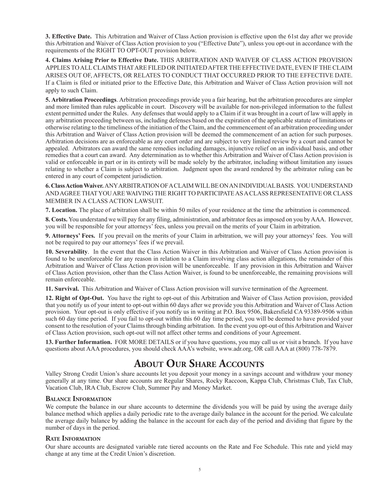**3. Effective Date.** This Arbitration and Waiver of Class Action provision is effective upon the 61st day after we provide this Arbitration and Waiver of Class Action provision to you ("Effective Date"), unless you opt-out in accordance with the requirements of the RIGHT TO OPT-OUT provision below.

**4. Claims Arising Prior to Effective Date.** THIS ARBITRATION AND WAIVER OF CLASS ACTION PROVISION APPLIES TO ALL CLAIMS THAT ARE FILED OR INITIATED AFTER THE EFFECTIVE DATE, EVEN IF THE CLAIM ARISES OUT OF, AFFECTS, OR RELATES TO CONDUCT THAT OCCURRED PRIOR TO THE EFFECTIVE DATE. If a Claim is filed or initiated prior to the Effective Date, this Arbitration and Waiver of Class Action provision will not apply to such Claim.

**5. Arbitration Proceedings**. Arbitration proceedings provide you a fair hearing, but the arbitration procedures are simpler and more limited than rules applicable in court. Discovery will be available for non-privileged information to the fullest extent permitted under the Rules. Any defenses that would apply to a Claim if it was brought in a court of law will apply in any arbitration proceeding between us, including defenses based on the expiration of the applicable statute of limitations or otherwise relating to the timeliness of the initiation of the Claim, and the commencement of an arbitration proceeding under this Arbitration and Waiver of Class Action provision will be deemed the commencement of an action for such purposes. Arbitration decisions are as enforceable as any court order and are subject to very limited review by a court and cannot be appealed. Arbitrators can award the same remedies including damages, injunctive relief on an individual basis, and other remedies that a court can award. Any determination as to whether this Arbitration and Waiver of Class Action provision is valid or enforceable in part or in its entirety will be made solely by the arbitrator, including without limitation any issues relating to whether a Claim is subject to arbitration. Judgment upon the award rendered by the arbitrator ruling can be entered in any court of competent jurisdiction.

#### **6. Class Action Waiver.** ANY ARBITRATION OF A CLAIM WILL BE ON AN INDIVIDUAL BASIS. YOU UNDERSTAND AND AGREE THAT YOU ARE WAIVING THE RIGHT TO PARTICIPATE AS A CLASS REPRESENTATIVE OR CLASS MEMBER IN A CLASS ACTION LAWSUIT.

**7. Location.** The place of arbitration shall be within 50 miles of your residence at the time the arbitration is commenced.

**8. Costs.** You understand we will pay for any filing, administration, and arbitrator fees as imposed on you by AAA. However, you will be responsible for your attorneys' fees, unless you prevail on the merits of your Claim in arbitration.

**9. Attorneys' Fees.** If you prevail on the merits of your Claim in arbitration, we will pay your attorneys' fees. You will not be required to pay our attorneys' fees if we prevail.

**10. Severability**. In the event that the Class Action Waiver in this Arbitration and Waiver of Class Action provision is found to be unenforceable for any reason in relation to a Claim involving class action allegations, the remainder of this Arbitration and Waiver of Class Action provision will be unenforceable. If any provision in this Arbitration and Waiver of Class Action provision, other than the Class Action Waiver, is found to be unenforceable, the remaining provisions will remain enforceable.

**11. Survival.** This Arbitration and Waiver of Class Action provision will survive termination of the Agreement.

**12. Right of Opt-Out.** You have the right to opt-out of this Arbitration and Waiver of Class Action provision, provided that you notify us of your intent to opt-out within 60 days after we provide you this Arbitration and Waiver of Class Action provision. Your opt-out is only effective if you notify us in writing at P.O. Box 9506, Bakersfield CA 93389-9506 within such 60 day time period. If you fail to opt-out within this 60 day time period, you will be deemed to have provided your consent to the resolution of your Claims through binding arbitration. In the event you opt-out of this Arbitration and Waiver of Class Action provision, such opt-out will not affect other terms and conditions of your Agreement.

**13. Further Information.** FOR MORE DETAILS or if you have questions, you may call us or visit a branch. If you have questions about AAA procedures, you should check AAA's website, www.adr.org, OR call AAA at (800) 778-7879.

## **About Our Share Accounts**

Valley Strong Credit Union's share accounts let you deposit your money in a savings account and withdraw your money generally at any time. Our share accounts are Regular Shares, Rocky Raccoon, Kappa Club, Christmas Club, Tax Club, Vacation Club, IRA Club, Escrow Club, Summer Pay and Money Market.

#### **Balance Information**

We compute the balance in our share accounts to determine the dividends you will be paid by using the average daily balance method which applies a daily periodic rate to the average daily balance in the account for the period. We calculate the average daily balance by adding the balance in the account for each day of the period and dividing that figure by the number of days in the period.

#### **Rate Information**

Our share accounts are designated variable rate tiered accounts on the Rate and Fee Schedule. This rate and yield may change at any time at the Credit Union's discretion.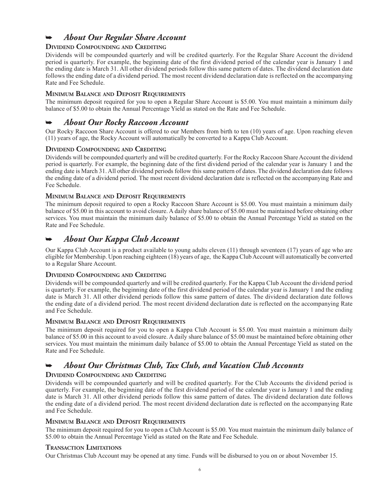## *About Our Regular Share Account*

#### **Dividend Compounding and Crediting**

Dividends will be compounded quarterly and will be credited quarterly. For the Regular Share Account the dividend period is quarterly. For example, the beginning date of the first dividend period of the calendar year is January 1 and the ending date is March 31. All other dividend periods follow this same pattern of dates. The dividend declaration date follows the ending date of a dividend period. The most recent dividend declaration date is reflected on the accompanying Rate and Fee Schedule.

#### **Minimum Balance and Deposit Requirements**

The minimum deposit required for you to open a Regular Share Account is \$5.00. You must maintain a minimum daily balance of \$5.00 to obtain the Annual Percentage Yield as stated on the Rate and Fee Schedule.

### *About Our Rocky Raccoon Account*

Our Rocky Raccoon Share Account is offered to our Members from birth to ten (10) years of age. Upon reaching eleven (11) years of age, the Rocky Account will automatically be converted to a Kappa Club Account.

#### **Dividend Compounding and Crediting**

Dividends will be compounded quarterly and will be credited quarterly. For the Rocky Raccoon Share Account the dividend period is quarterly. For example, the beginning date of the first dividend period of the calendar year is January 1 and the ending date is March 31. All other dividend periods follow this same pattern of dates. The dividend declaration date follows the ending date of a dividend period. The most recent dividend declaration date is reflected on the accompanying Rate and Fee Schedule.

#### **Minimum Balance and Deposit Requirements**

The minimum deposit required to open a Rocky Raccoon Share Account is \$5.00. You must maintain a minimum daily balance of \$5.00 in this account to avoid closure. A daily share balance of \$5.00 must be maintained before obtaining other services. You must maintain the minimum daily balance of \$5.00 to obtain the Annual Percentage Yield as stated on the Rate and Fee Schedule.

## *About Our Kappa Club Account*

Our Kappa Club Account is a product available to young adults eleven (11) through seventeen (17) years of age who are eligible for Membership. Upon reaching eighteen (18) years of age, the Kappa Club Account will automatically be converted to a Regular Share Account.

#### **Dividend Compounding and Crediting**

Dividends will be compounded quarterly and will be credited quarterly. For the Kappa Club Account the dividend period is quarterly. For example, the beginning date of the first dividend period of the calendar year is January 1 and the ending date is March 31. All other dividend periods follow this same pattern of dates. The dividend declaration date follows the ending date of a dividend period. The most recent dividend declaration date is reflected on the accompanying Rate and Fee Schedule.

#### **Minimum Balance and Deposit Requirements**

The minimum deposit required for you to open a Kappa Club Account is \$5.00. You must maintain a minimum daily balance of \$5.00 in this account to avoid closure. A daily share balance of \$5.00 must be maintained before obtaining other services. You must maintain the minimum daily balance of \$5.00 to obtain the Annual Percentage Yield as stated on the Rate and Fee Schedule.

## *About Our Christmas Club, Tax Club, and Vacation Club Accounts*

#### **Dividend Compounding and Crediting**

Dividends will be compounded quarterly and will be credited quarterly. For the Club Accounts the dividend period is quarterly. For example, the beginning date of the first dividend period of the calendar year is January 1 and the ending date is March 31. All other dividend periods follow this same pattern of dates. The dividend declaration date follows the ending date of a dividend period. The most recent dividend declaration date is reflected on the accompanying Rate and Fee Schedule.

#### **Minimum Balance and Deposit Requirements**

The minimum deposit required for you to open a Club Account is \$5.00. You must maintain the minimum daily balance of \$5.00 to obtain the Annual Percentage Yield as stated on the Rate and Fee Schedule.

#### **Transaction Limitations**

Our Christmas Club Account may be opened at any time. Funds will be disbursed to you on or about November 15.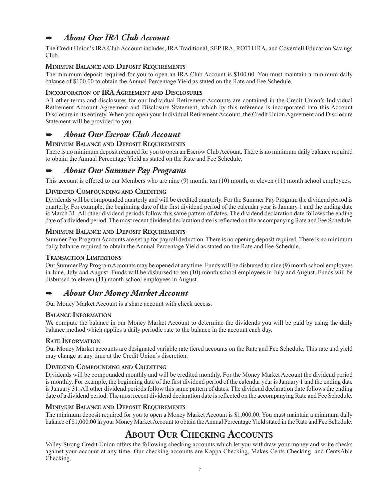## *About Our IRA Club Account*

The Credit Union's IRA Club Account includes, IRA Traditional, SEP IRA, ROTH IRA, and Coverdell Education Savings Club.

#### **Minimum Balance and Deposit Requirements**

The minimum deposit required for you to open an IRA Club Account is \$100.00. You must maintain a minimum daily balance of \$100.00 to obtain the Annual Percentage Yield as stated on the Rate and Fee Schedule.

#### **Incorporation of IRA Agreement and Disclosures**

All other terms and disclosures for our Individual Retirement Accounts are contained in the Credit Union's Individual Retirement Account Agreement and Disclosure Statement, which by this reference is incorporated into this Account Disclosure in its entirety. When you open your Individual Retirement Account, the Credit Union Agreement and Disclosure Statement will be provided to you.

## *About Our Escrow Club Account*

#### **Minimum Balance and Deposit Requirements**

There is no minimum deposit required for you to open an Escrow Club Account. There is no minimum daily balance required to obtain the Annual Percentage Yield as stated on the Rate and Fee Schedule.

### *About Our Summer Pay Programs*

This account is offered to our Members who are nine (9) month, ten (10) month, or eleven (11) month school employees.

#### **Dividend Compounding and Crediting**

Dividends will be compounded quarterly and will be credited quarterly. For the Summer Pay Program the dividend period is quarterly. For example, the beginning date of the first dividend period of the calendar year is January 1 and the ending date is March 31. All other dividend periods follow this same pattern of dates. The dividend declaration date follows the ending date of a dividend period. The most recent dividend declaration date is reflected on the accompanying Rate and Fee Schedule.

#### **Minimum Balance and Deposit Requirements**

Summer Pay Program Accounts are set up for payroll deduction. There is no opening deposit required. There is no minimum daily balance required to obtain the Annual Percentage Yield as stated on the Rate and Fee Schedule.

#### **Transaction Limitations**

Our Summer Pay Program Accounts may be opened at any time. Funds will be disbursed to nine (9) month school employees in June, July and August. Funds will be disbursed to ten (10) month school employees in July and August. Funds will be disbursed to eleven (11) month school employees in August.

### *About Our Money Market Account*

Our Money Market Account is a share account with check access.

#### **Balance Information**

We compute the balance in our Money Market Account to determine the dividends you will be paid by using the daily balance method which applies a daily periodic rate to the balance in the account each day.

#### **Rate Information**

Our Money Market accounts are designated variable rate tiered accounts on the Rate and Fee Schedule. This rate and yield may change at any time at the Credit Union's discretion.

#### **Dividend Compounding and Crediting**

Dividends will be compounded monthly and will be credited monthly. For the Money Market Account the dividend period is monthly. For example, the beginning date of the first dividend period of the calendar year is January 1 and the ending date is January 31. All other dividend periods follow this same pattern of dates. The dividend declaration date follows the ending date of a dividend period. The most recent dividend declaration date is reflected on the accompanying Rate and Fee Schedule.

#### **Minimum Balance and Deposit Requirements**

The minimum deposit required for you to open a Money Market Account is \$1,000.00. You must maintain a minimum daily balance of \$1,000.00 in your Money Market Account to obtain the Annual Percentage Yield stated in the Rate and Fee Schedule.

## **About Our Checking Accounts**

Valley Strong Credit Union offers the following checking accounts which let you withdraw your money and write checks against your account at any time. Our checking accounts are Kappa Checking, Makes Cents Checking, and CentsAble Checking.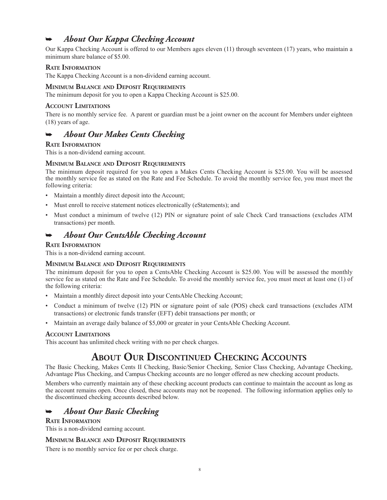## *About Our Kappa Checking Account*

Our Kappa Checking Account is offered to our Members ages eleven (11) through seventeen (17) years, who maintain a minimum share balance of \$5.00.

#### **Rate Information**

The Kappa Checking Account is a non-dividend earning account.

#### **Minimum Balance and Deposit Requirements**

The minimum deposit for you to open a Kappa Checking Account is \$25.00.

#### **Account Limitations**

There is no monthly service fee. A parent or guardian must be a joint owner on the account for Members under eighteen (18) years of age.

## *About Our Makes Cents Checking*

#### **Rate Information**

This is a non-dividend earning account.

#### **Minimum Balance and Deposit Requirements**

The minimum deposit required for you to open a Makes Cents Checking Account is \$25.00. You will be assessed the monthly service fee as stated on the Rate and Fee Schedule. To avoid the monthly service fee, you must meet the following criteria:

- Maintain a monthly direct deposit into the Account;
- Must enroll to receive statement notices electronically (eStatements); and
- Must conduct a minimum of twelve (12) PIN or signature point of sale Check Card transactions (excludes ATM transactions) per month.

## *About Our CentsAble Checking Account*

#### **Rate Information**

This is a non-dividend earning account.

#### **Minimum Balance and Deposit Requirements**

The minimum deposit for you to open a CentsAble Checking Account is \$25.00. You will be assessed the monthly service fee as stated on the Rate and Fee Schedule. To avoid the monthly service fee, you must meet at least one (1) of the following criteria:

- Maintain a monthly direct deposit into your CentsAble Checking Account;
- Conduct a minimum of twelve (12) PIN or signature point of sale (POS) check card transactions (excludes ATM transactions) or electronic funds transfer (EFT) debit transactions per month; or
- Maintain an average daily balance of \$5,000 or greater in your CentsAble Checking Account.

#### **Account Limitations**

This account has unlimited check writing with no per check charges.

## **About Our Discontinued Checking Accounts**

The Basic Checking, Makes Cents II Checking, Basic/Senior Checking, Senior Class Checking, Advantage Checking, Advantage Plus Checking, and Campus Checking accounts are no longer offered as new checking account products.

Members who currently maintain any of these checking account products can continue to maintain the account as long as the account remains open. Once closed, these accounts may not be reopened. The following information applies only to the discontinued checking accounts described below.

## *About Our Basic Checking*

#### **Rate Information**

This is a non-dividend earning account.

#### **Minimum Balance and Deposit Requirements**

There is no monthly service fee or per check charge.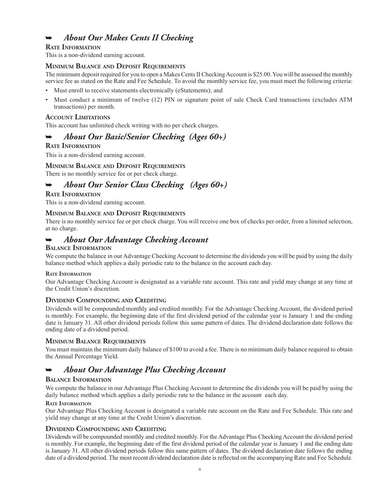## *About Our Makes Cents II Checking*

#### **Rate Information**

This is a non-dividend earning account.

#### **Minimum Balance and Deposit Requirements**

The minimum deposit required for you to open a Makes Cents II Checking Account is \$25.00. You will be assessed the monthly service fee as stated on the Rate and Fee Schedule. To avoid the monthly service fee, you must meet the following criteria:

- Must enroll to receive statements electronically (eStatements); and
- Must conduct a minimum of twelve (12) PIN or signature point of sale Check Card transactions (excludes ATM transactions) per month.

#### **Account Limitations**

This account has unlimited check writing with no per check charges.

## *About Our Basic/Senior Checking (Ages 60+)*

#### **Rate Information**

This is a non-dividend earning account.

**Minimum Balance and Deposit Requirements**

There is no monthly service fee or per check charge.

## *About Our Senior Class Checking (Ages 60+)*

#### **Rate Information**

This is a non-dividend earning account.

#### **Minimum Balance and Deposit Requirements**

There is no monthly service fee or per check charge. You will receive one box of checks per order, from a limited selection, at no charge.

## *About Our Advantage Checking Account*

#### **Balance Information**

We compute the balance in our Advantage Checking Account to determine the dividends you will be paid by using the daily balance method which applies a daily periodic rate to the balance in the account each day.

#### **Rate Information**

Our Advantage Checking Account is designated as a variable rate account. This rate and yield may change at any time at the Credit Union's discretion.

#### **Dividend Compounding and Crediting**

Dividends will be compounded monthly and credited monthly. For the Advantage Checking Account, the dividend period is monthly. For example, the beginning date of the first dividend period of the calendar year is January 1 and the ending date is January 31. All other dividend periods follow this same pattern of dates. The dividend declaration date follows the ending date of a dividend period.

#### **Minimum Balance Requirements**

You must maintain the minimum daily balance of \$100 to avoid a fee. There is no minimum daily balance required to obtain the Annual Percentage Yield.

## *About Our Advantage Plus Checking Account*

#### **Balance Information**

We compute the balance in our Advantage Plus Checking Account to determine the dividends you will be paid by using the daily balance method which applies a daily periodic rate to the balance in the account each day.

#### **Rate Information**

Our Advantage Plus Checking Account is designated a variable rate account on the Rate and Fee Schedule. This rate and yield may change at any time at the Credit Union's discretion.

#### **Dividend Compounding and Crediting**

Dividends will be compounded monthly and credited monthly. For the Advantage Plus Checking Account the dividend period is monthly. For example, the beginning date of the first dividend period of the calendar year is January 1 and the ending date is January 31. All other dividend periods follow this same pattern of dates. The dividend declaration date follows the ending date of a dividend period. The most recent dividend declaration date is reflected on the accompanying Rate and Fee Schedule.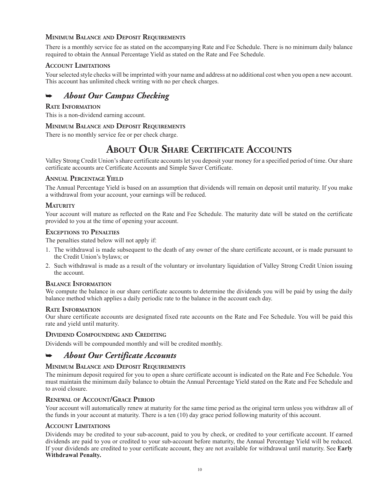#### **Minimum Balance and Deposit Requirements**

There is a monthly service fee as stated on the accompanying Rate and Fee Schedule. There is no minimum daily balance required to obtain the Annual Percentage Yield as stated on the Rate and Fee Schedule.

#### **Account Limitations**

Your selected style checks will be imprinted with your name and address at no additional cost when you open a new account. This account has unlimited check writing with no per check charges.

## *About Our Campus Checking*

#### **Rate Information**

This is a non-dividend earning account.

#### **Minimum Balance and Deposit Requirements**

There is no monthly service fee or per check charge.

## **About Our Share Certificate Accounts**

Valley Strong Credit Union's share certificate accounts let you deposit your money for a specified period of time. Our share certificate accounts are Certificate Accounts and Simple Saver Certificate.

#### **Annual Percentage Yield**

The Annual Percentage Yield is based on an assumption that dividends will remain on deposit until maturity. If you make a withdrawal from your account, your earnings will be reduced.

#### **MATURITY**

Your account will mature as reflected on the Rate and Fee Schedule. The maturity date will be stated on the certificate provided to you at the time of opening your account.

#### **Exceptions to Penalties**

The penalties stated below will not apply if:

- 1. The withdrawal is made subsequent to the death of any owner of the share certificate account, or is made pursuant to the Credit Union's bylaws; or
- 2. Such withdrawal is made as a result of the voluntary or involuntary liquidation of Valley Strong Credit Union issuing the account.

#### **Balance Information**

We compute the balance in our share certificate accounts to determine the dividends you will be paid by using the daily balance method which applies a daily periodic rate to the balance in the account each day.

#### **Rate Information**

Our share certificate accounts are designated fixed rate accounts on the Rate and Fee Schedule. You will be paid this rate and yield until maturity.

#### **Dividend Compounding and Crediting**

Dividends will be compounded monthly and will be credited monthly.

#### *About Our Certificate Accounts*

#### **Minimum Balance and Deposit Requirements**

The minimum deposit required for you to open a share certificate account is indicated on the Rate and Fee Schedule. You must maintain the minimum daily balance to obtain the Annual Percentage Yield stated on the Rate and Fee Schedule and to avoid closure.

#### **Renewal of Account/Grace Period**

Your account will automatically renew at maturity for the same time period as the original term unless you withdraw all of the funds in your account at maturity. There is a ten (10) day grace period following maturity of this account.

#### **Account Limitations**

Dividends may be credited to your sub-account, paid to you by check, or credited to your certificate account. If earned dividends are paid to you or credited to your sub-account before maturity, the Annual Percentage Yield will be reduced. If your dividends are credited to your certificate account, they are not available for withdrawal until maturity. See **Early Withdrawal Penalty.**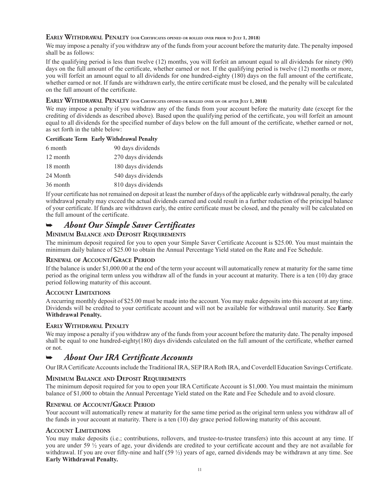#### **Early Withdrawal Penalty (for Certificates opened or rolled over prior to July 1, 2018)**

We may impose a penalty if you withdraw any of the funds from your account before the maturity date. The penalty imposed shall be as follows:

If the qualifying period is less than twelve (12) months, you will forfeit an amount equal to all dividends for ninety (90) days on the full amount of the certificate, whether earned or not. If the qualifying period is twelve (12) months or more, you will forfeit an amount equal to all dividends for one hundred-eighty (180) days on the full amount of the certificate, whether earned or not. If funds are withdrawn early, the entire certificate must be closed, and the penalty will be calculated on the full amount of the certificate.

#### **Early Withdrawal Penalty (for Certificates opened or rolled over on or after July 1, 2018)**

We may impose a penalty if you withdraw any of the funds from your account before the maturity date (except for the crediting of dividends as described above). Based upon the qualifying period of the certificate, you will forfeit an amount equal to all dividends for the specified number of days below on the full amount of the certificate, whether earned or not, as set forth in the table below:

#### **Certificate Term Early Withdrawal Penalty**

| 90 days dividends  |
|--------------------|
| 270 days dividends |
| 180 days dividends |
| 540 days dividends |
| 810 days dividends |
|                    |

If your certificate has not remained on deposit at least the number of days of the applicable early withdrawal penalty, the early withdrawal penalty may exceed the actual dividends earned and could result in a further reduction of the principal balance of your certificate. If funds are withdrawn early, the entire certificate must be closed, and the penalty will be calculated on the full amount of the certificate.

### *About Our Simple Saver Certificates*

#### **Minimum Balance and Deposit Requirements**

The minimum deposit required for you to open your Simple Saver Certificate Account is \$25.00. You must maintain the minimum daily balance of \$25.00 to obtain the Annual Percentage Yield stated on the Rate and Fee Schedule.

#### **Renewal of Account/Grace Period**

If the balance is under \$1,000.00 at the end of the term your account will automatically renew at maturity for the same time period as the original term unless you withdraw all of the funds in your account at maturity. There is a ten (10) day grace period following maturity of this account.

#### **Account Limitations**

A recurring monthly deposit of \$25.00 must be made into the account. You may make deposits into this account at any time. Dividends will be credited to your certificate account and will not be available for withdrawal until maturity. See **Early Withdrawal Penalty.**

#### **Early Withdrawal Penalty**

We may impose a penalty if you withdraw any of the funds from your account before the maturity date. The penalty imposed shall be equal to one hundred-eighty(180) days dividends calculated on the full amount of the certificate, whether earned or not.

## *About Our IRA Certificate Accounts*

Our IRA Certificate Accounts include the Traditional IRA, SEP IRA Roth IRA, and Coverdell Education Savings Certificate.

#### **Minimum Balance and Deposit Requirements**

The minimum deposit required for you to open your IRA Certificate Account is \$1,000. You must maintain the minimum balance of \$1,000 to obtain the Annual Percentage Yield stated on the Rate and Fee Schedule and to avoid closure.

#### **Renewal of Account/Grace Period**

Your account will automatically renew at maturity for the same time period as the original term unless you withdraw all of the funds in your account at maturity. There is a ten (10) day grace period following maturity of this account.

#### **Account Limitations**

You may make deposits (i.e.; contributions, rollovers, and trustee-to-trustee transfers) into this account at any time. If you are under 59 ½ years of age, your dividends are credited to your certificate account and they are not available for withdrawal. If you are over fifty-nine and half  $(59 \frac{1}{2})$  years of age, earned dividends may be withdrawn at any time. See **Early Withdrawal Penalty.**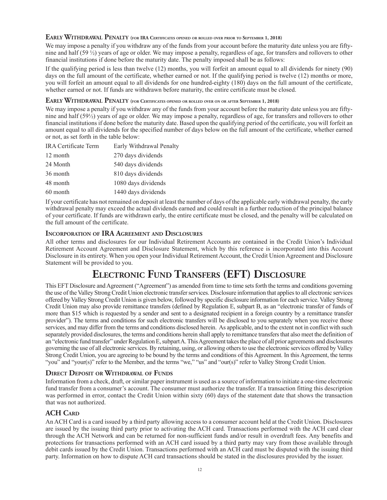#### **Early Withdrawal Penalty (for IRA Certificates opened or rolled over prior to September 1, 2018)**

We may impose a penalty if you withdraw any of the funds from your account before the maturity date unless you are fiftynine and half (59 ½) years of age or older. We may impose a penalty, regardless of age, for transfers and rollovers to other financial institutions if done before the maturity date. The penalty imposed shall be as follows:

If the qualifying period is less than twelve (12) months, you will forfeit an amount equal to all dividends for ninety (90) days on the full amount of the certificate, whether earned or not. If the qualifying period is twelve (12) months or more, you will forfeit an amount equal to all dividends for one hundred-eighty (180) days on the full amount of the certificate, whether earned or not. If funds are withdrawn before maturity, the entire certificate must be closed.

#### **Early Withdrawal Penalty (for Certificates opened or rolled over on or after September 1, 2018)**

We may impose a penalty if you withdraw any of the funds from your account before the maturity date unless you are fiftynine and half (59½) years of age or older. We may impose a penalty, regardless of age, for transfers and rollovers to other financial institutions if done before the maturity date. Based upon the qualifying period of the certificate, you will forfeit an amount equal to all dividends for the specified number of days below on the full amount of the certificate, whether earned or not, as set forth in the table below:

| <b>IRA</b> Certificate Term | Early Withdrawal Penalty |
|-----------------------------|--------------------------|
| 12 month                    | 270 days dividends       |
| 24 Month                    | 540 days dividends       |
| 36 month                    | 810 days dividends       |
| 48 month                    | 1080 days dividends      |
| 60 month                    | 1440 days dividends      |
|                             |                          |

If your certificate has not remained on deposit at least the number of days of the applicable early withdrawal penalty, the early withdrawal penalty may exceed the actual dividends earned and could result in a further reduction of the principal balance of your certificate. If funds are withdrawn early, the entire certificate must be closed, and the penalty will be calculated on the full amount of the certificate.

#### **Incorporation of IRA Agreement and Disclosures**

All other terms and disclosures for our Individual Retirement Accounts are contained in the Credit Union's Individual Retirement Account Agreement and Disclosure Statement, which by this reference is incorporated into this Account Disclosure in its entirety. When you open your Individual Retirement Account, the Credit Union Agreement and Disclosure Statement will be provided to you.

## **Electronic Fund Transfers (EFT) Disclosure**

This EFT Disclosure and Agreement ("Agreement") as amended from time to time sets forth the terms and conditions governing the use of the Valley Strong Credit Union electronic transfer services. Disclosure information that applies to all electronic services offered by Valley Strong Credit Union is given below, followed by specific disclosure information for each service. Valley Strong Credit Union may also provide remittance transfers (defined by Regulation E, subpart B, as an "electronic transfer of funds of more than \$15 which is requested by a sender and sent to a designated recipient in a foreign country by a remittance transfer provider"). The terms and conditions for such electronic transfers will be disclosed to you separately when you receive those services, and may differ from the terms and conditions disclosed herein. As applicable, and to the extent not in conflict with such separately provided disclosures, the terms and conditions herein shall apply to remittance transfers that also meet the definition of an "electronic fund transfer" under Regulation E, subpart A. This Agreement takes the place of all prior agreements and disclosures governing the use of all electronic services. By retaining, using, or allowing others to use the electronic services offered by Valley Strong Credit Union, you are agreeing to be bound by the terms and conditions of this Agreement. In this Agreement, the terms "you" and "your(s)" refer to the Member, and the terms "we," "us" and "our(s)" refer to Valley Strong Credit Union.

#### **Direct Deposit or Withdrawal of Funds**

Information from a check, draft, or similar paper instrument is used as a source of information to initiate a one-time electronic fund transfer from a consumer's account. The consumer must authorize the transfer. If a transaction fitting this description was performed in error, contact the Credit Union within sixty (60) days of the statement date that shows the transaction that was not authorized.

#### **ACH Card**

An ACH Card is a card issued by a third party allowing access to a consumer account held at the Credit Union. Disclosures are issued by the issuing third party prior to activating the ACH card. Transactions performed with the ACH card clear through the ACH Network and can be returned for non-sufficient funds and/or result in overdraft fees. Any benefits and protections for transactions performed with an ACH card issued by a third party may vary from those available through debit cards issued by the Credit Union. Transactions performed with an ACH card must be disputed with the issuing third party. Information on how to dispute ACH card transactions should be stated in the disclosures provided by the issuer.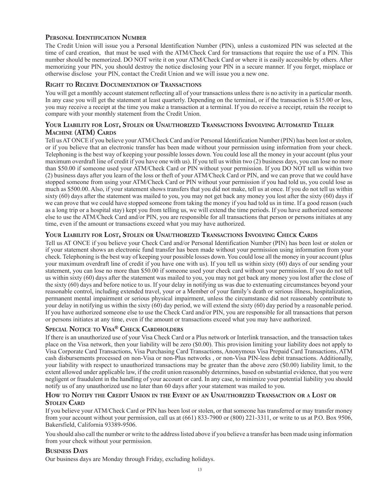#### **Personal Identification Number**

The Credit Union will issue you a Personal Identification Number (PIN), unless a customized PIN was selected at the time of card creation, that must be used with the ATM/Check Card for transactions that require the use of a PIN. This number should be memorized. DO NOT write it on your ATM/Check Card or where it is easily accessible by others. After memorizing your PIN, you should destroy the notice disclosing your PIN in a secure manner. If you forget, misplace or otherwise disclose your PIN, contact the Credit Union and we will issue you a new one.

#### **Right to Receive Documentation of Transactions**

You will get a monthly account statement reflecting all of your transactions unless there is no activity in a particular month. In any case you will get the statement at least quarterly. Depending on the terminal, or if the transaction is \$15.00 or less, you may receive a receipt at the time you make a transaction at a terminal. If you do receive a receipt, retain the receipt to compare with your monthly statement from the Credit Union.

#### **Your Liability for Lost, Stolen or Unauthorized Transactions Involving Automated Teller Machine (ATM) Cards**

Tell us AT ONCE if you believe your ATM/Check Card and/or Personal Identification Number (PIN) has been lost or stolen, or if you believe that an electronic transfer has been made without your permission using information from your check. Telephoning is the best way of keeping your possible losses down. You could lose all the money in your account (plus your maximum overdraft line of credit if you have one with us). If you tell us within two (2) business days, you can lose no more than \$50.00 if someone used your ATM/Check Card or PIN without your permission. If you DO NOT tell us within two (2) business days after you learn of the loss or theft of your ATM/Check Card or PIN, and we can prove that we could have stopped someone from using your ATM/Check Card or PIN without your permission if you had told us, you could lose as much as \$500.00. Also, if your statement shows transfers that you did not make, tell us at once. If you do not tell us within sixty (60) days after the statement was mailed to you, you may not get back any money you lost after the sixty (60) days if we can prove that we could have stopped someone from taking the money if you had told us in time. If a good reason (such as a long trip or a hospital stay) kept you from telling us, we will extend the time periods. If you have authorized someone else to use the ATM/Check Card and/or PIN, you are responsible for all transactions that person or persons initiates at any time, even if the amount or transactions exceed what you may have authorized.

#### **Your Liability for Lost, Stolen or Unauthorized Transactions Involving Check Cards**

Tell us AT ONCE if you believe your Check Card and/or Personal Identification Number (PIN) has been lost or stolen or if your statement shows an electronic fund transfer has been made without your permission using information from your check. Telephoning is the best way of keeping your possible losses down. You could lose all the money in your account (plus your maximum overdraft line of credit if you have one with us). If you tell us within sixty (60) days of our sending your statement, you can lose no more than \$50.00 if someone used your check card without your permission. If you do not tell us within sixty (60) days after the statement was mailed to you, you may not get back any money you lost after the close of the sixty (60) days and before notice to us. If your delay in notifying us was due to extenuating circumstances beyond your reasonable control, including extended travel, your or a Member of your family's death or serious illness, hospitalization, permanent mental impairment or serious physical impairment, unless the circumstance did not reasonably contribute to your delay in notifying us within the sixty  $(60)$  day period, we will extend the sixty  $(60)$  day period by a reasonable period. If you have authorized someone else to use the Check Card and/or PIN, you are responsible for all transactions that person or persons initiates at any time, even if the amount or transactions exceed what you may have authorized.

#### **Special Notice to Visa® Check Cardholders**

If there is an unauthorized use of your Visa Check Card or a Plus network or Interlink transaction, and the transaction takes place on the Visa network, then your liability will be zero (\$0.00). This provision limiting your liability does not apply to Visa Corporate Card Transactions, Visa Purchasing Card Transactions, Anonymous Visa Prepaid Card Transactions, ATM cash disbursements processed on non-Visa or non-Plus networks , or non-Visa PIN-less debit transactions. Additionally, your liability with respect to unauthorized transactions may be greater than the above zero (\$0.00) liability limit, to the extent allowed under applicable law, if the credit union reasonably determines, based on substantial evidence, that you were negligent or fraudulent in the handling of your account or card. In any case, to minimize your potential liability you should notify us of any unauthorized use no later than 60 days after your statement was mailed to you.

#### **How to Notify the Credit Union in the Event of an Unauthorized Transaction or a Lost or Stolen Card**

If you believe your ATM/Check Card or PIN has been lost or stolen, or that someone has transferred or may transfer money from your account without your permission, call us at (661) 833-7900 or (800) 221-3311, or write to us at P.O. Box 9506, Bakersfield, California 93389-9506.

You should also call the number or write to the address listed above if you believe a transfer has been made using information from your check without your permission.

#### **Business Days**

Our business days are Monday through Friday, excluding holidays.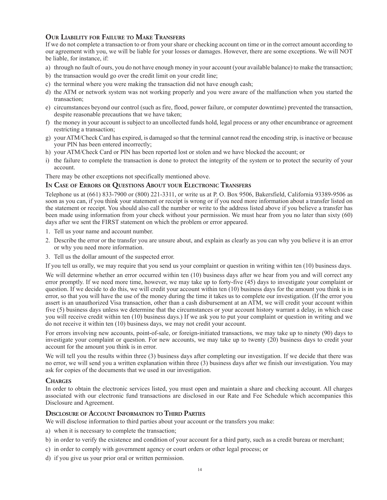#### **Our Liability for Failure to Make Transfers**

If we do not complete a transaction to or from your share or checking account on time or in the correct amount according to our agreement with you, we will be liable for your losses or damages. However, there are some exceptions. We will NOT be liable, for instance, if:

- a) through no fault of ours, you do not have enough money in your account (your available balance) to make the transaction;
- b) the transaction would go over the credit limit on your credit line;
- c) the terminal where you were making the transaction did not have enough cash;
- d) the ATM or network system was not working properly and you were aware of the malfunction when you started the transaction;
- e) circumstances beyond our control (such as fire, flood, power failure, or computer downtime) prevented the transaction, despite reasonable precautions that we have taken;
- f) the money in your account is subject to an uncollected funds hold, legal process or any other encumbrance or agreement restricting a transaction;
- g) your ATM/Check Card has expired, is damaged so that the terminal cannot read the encoding strip, is inactive or because your PIN has been entered incorrectly;
- h) your ATM/Check Card or PIN has been reported lost or stolen and we have blocked the account; or
- i) the failure to complete the transaction is done to protect the integrity of the system or to protect the security of your account.

There may be other exceptions not specifically mentioned above.

#### **In Case of Errors or Questions About your Electronic Transfers**

Telephone us at (661) 833-7900 or (800) 221-3311, or write us at P. O. Box 9506, Bakersfield, California 93389-9506 as soon as you can, if you think your statement or receipt is wrong or if you need more information about a transfer listed on the statement or receipt. You should also call the number or write to the address listed above if you believe a transfer has been made using information from your check without your permission. We must hear from you no later than sixty (60) days after we sent the FIRST statement on which the problem or error appeared.

- 1. Tell us your name and account number.
- 2. Describe the error or the transfer you are unsure about, and explain as clearly as you can why you believe it is an error or why you need more information.
- 3. Tell us the dollar amount of the suspected error.

If you tell us orally, we may require that you send us your complaint or question in writing within ten (10) business days.

We will determine whether an error occurred within ten (10) business days after we hear from you and will correct any error promptly. If we need more time, however, we may take up to forty-five (45) days to investigate your complaint or question. If we decide to do this, we will credit your account within ten (10) business days for the amount you think is in error, so that you will have the use of the money during the time it takes us to complete our investigation. (If the error you assert is an unauthorized Visa transaction, other than a cash disbursement at an ATM, we will credit your account within five (5) business days unless we determine that the circumstances or your account history warrant a delay, in which case you will receive credit within ten (10) business days.) If we ask you to put your complaint or question in writing and we do not receive it within ten (10) business days, we may not credit your account.

For errors involving new accounts, point-of-sale, or foreign-initiated transactions, we may take up to ninety (90) days to investigate your complaint or question. For new accounts, we may take up to twenty (20) business days to credit your account for the amount you think is in error.

We will tell you the results within three (3) business days after completing our investigation. If we decide that there was no error, we will send you a written explanation within three (3) business days after we finish our investigation. You may ask for copies of the documents that we used in our investigation.

#### **Charges**

In order to obtain the electronic services listed, you must open and maintain a share and checking account. All charges associated with our electronic fund transactions are disclosed in our Rate and Fee Schedule which accompanies this Disclosure and Agreement.

#### **Disclosure of Account Information to Third Parties**

We will disclose information to third parties about your account or the transfers you make:

- a) when it is necessary to complete the transaction;
- b) in order to verify the existence and condition of your account for a third party, such as a credit bureau or merchant;
- c) in order to comply with government agency or court orders or other legal process; or
- d) if you give us your prior oral or written permission.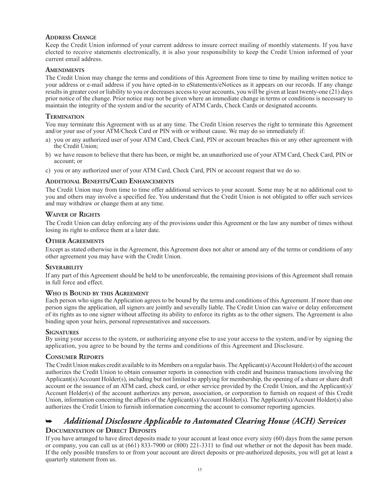#### **Address Change**

Keep the Credit Union informed of your current address to insure correct mailing of monthly statements. If you have elected to receive statements electronically, it is also your responsibility to keep the Credit Union informed of your current email address.

#### **Amendments**

The Credit Union may change the terms and conditions of this Agreement from time to time by mailing written notice to your address or e-mail address if you have opted-in to eStatements/eNotices as it appears on our records. If any change results in greater cost or liability to you or decreases access to your accounts, you will be given at least twenty-one (21) days prior notice of the change. Prior notice may not be given where an immediate change in terms or conditions is necessary to maintain the integrity of the system and/or the security of ATM Cards, Check Cards or designated accounts.

#### **Termination**

You may terminate this Agreement with us at any time. The Credit Union reserves the right to terminate this Agreement and/or your use of your ATM/Check Card or PIN with or without cause. We may do so immediately if:

- a) you or any authorized user of your ATM Card, Check Card, PIN or account breaches this or any other agreement with the Credit Union;
- b) we have reason to believe that there has been, or might be, an unauthorized use of your ATM Card, Check Card, PIN or account; or
- c) you or any authorized user of your ATM Card, Check Card, PIN or account request that we do so.

#### **Additional Benefits/Card Enhancements**

The Credit Union may from time to time offer additional services to your account. Some may be at no additional cost to you and others may involve a specified fee. You understand that the Credit Union is not obligated to offer such services and may withdraw or change them at any time.

#### **Waiver of Rights**

The Credit Union can delay enforcing any of the provisions under this Agreement or the law any number of times without losing its right to enforce them at a later date.

#### **Other Agreements**

Except as stated otherwise in the Agreement, this Agreement does not alter or amend any of the terms or conditions of any other agreement you may have with the Credit Union.

#### **Severability**

If any part of this Agreement should be held to be unenforceable, the remaining provisions of this Agreement shall remain in full force and effect.

#### **Who is Bound by this Agreement**

Each person who signs the Application agrees to be bound by the terms and conditions of this Agreement. If more than one person signs the application, all signers are jointly and severally liable. The Credit Union can waive or delay enforcement of its rights as to one signer without affecting its ability to enforce its rights as to the other signers. The Agreement is also binding upon your heirs, personal representatives and successors.

#### **Signatures**

By using your access to the system, or authorizing anyone else to use your access to the system, and/or by signing the application, you agree to be bound by the terms and conditions of this Agreement and Disclosure.

#### **Consumer Reports**

The Credit Union makes credit available to its Members on a regular basis. The Applicant(s)/Account Holder(s) of the account authorizes the Credit Union to obtain consumer reports in connection with credit and business transactions involving the Applicant(s)/Account Holder(s), including but not limited to applying for membership, the opening of a share or share draft account or the issuance of an ATM card, check card, or other service provided by the Credit Union, and the Applicant(s)/ Account Holder(s) of the account authorizes any person, association, or corporation to furnish on request of this Credit Union, information concerning the affairs of the Applicant(s)/Account Holder(s). The Applicant(s)/Account Holder(s) also authorizes the Credit Union to furnish information concerning the account to consumer reporting agencies.

# *Additional Disclosure Applicable to Automated Clearing House (ACH) Services*

## **Documentation of Direct Deposits**

If you have arranged to have direct deposits made to your account at least once every sixty (60) days from the same person or company, you can call us at (661) 833-7900 or (800) 221-3311 to find out whether or not the deposit has been made. If the only possible transfers to or from your account are direct deposits or pre-authorized deposits, you will get at least a quarterly statement from us.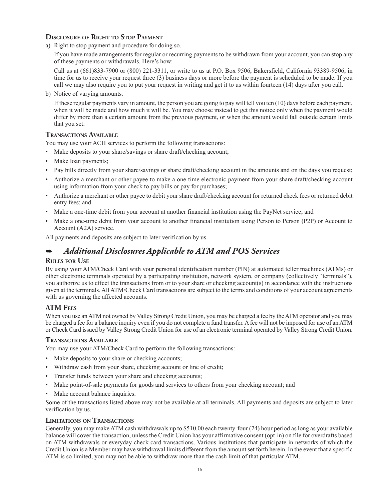#### **Disclosure of Right to Stop Payment**

a) Right to stop payment and procedure for doing so.

If you have made arrangements for regular or recurring payments to be withdrawn from your account, you can stop any of these payments or withdrawals. Here's how:

Call us at (661)833-7900 or (800) 221-3311, or write to us at P.O. Box 9506, Bakersfield, California 93389-9506, in time for us to receive your request three (3) business days or more before the payment is scheduled to be made. If you call we may also require you to put your request in writing and get it to us within fourteen (14) days after you call.

b) Notice of varying amounts.

If these regular payments vary in amount, the person you are going to pay will tell you ten (10) days before each payment, when it will be made and how much it will be. You may choose instead to get this notice only when the payment would differ by more than a certain amount from the previous payment, or when the amount would fall outside certain limits that you set.

#### **Transactions Available**

You may use your ACH services to perform the following transactions:

- Make deposits to your share/savings or share draft/checking account;
- Make loan payments;
- Pay bills directly from your share/savings or share draft/checking account in the amounts and on the days you request;
- Authorize a merchant or other payee to make a one-time electronic payment from your share draft/checking account using information from your check to pay bills or pay for purchases;
- Authorize a merchant or other payee to debit your share draft/checking account for returned check fees or returned debit entry fees; and
- Make a one-time debit from your account at another financial institution using the PayNet service; and
- Make a one-time debit from your account to another financial institution using Person to Person (P2P) or Account to Account (A2A) service.

All payments and deposits are subject to later verification by us.

## *Additional Disclosures Applicable to ATM and POS Services*

#### **Rules for Use**

By using your ATM/Check Card with your personal identification number (PIN) at automated teller machines (ATMs) or other electronic terminals operated by a participating institution, network system, or company (collectively "terminals"), you authorize us to effect the transactions from or to your share or checking account(s) in accordance with the instructions given at the terminals. All ATM/Check Card transactions are subject to the terms and conditions of your account agreements with us governing the affected accounts.

#### **ATM Fees**

When you use an ATM not owned by Valley Strong Credit Union, you may be charged a fee by the ATM operator and you may be charged a fee for a balance inquiry even if you do not complete a fund transfer. A fee will not be imposed for use of an ATM or Check Card issued by Valley Strong Credit Union for use of an electronic terminal operated by Valley Strong Credit Union.

#### **Transactions Available**

You may use your ATM/Check Card to perform the following transactions:

- Make deposits to your share or checking accounts;
- Withdraw cash from your share, checking account or line of credit;
- Transfer funds between your share and checking accounts;
- Make point-of-sale payments for goods and services to others from your checking account; and
- Make account balance inquiries.

Some of the transactions listed above may not be available at all terminals. All payments and deposits are subject to later verification by us.

#### **Limitations on Transactions**

Generally, you may make ATM cash withdrawals up to \$510.00 each twenty-four (24) hour period as long as your available balance will cover the transaction, unless the Credit Union has your affirmative consent (opt-in) on file for overdrafts based on ATM withdrawals or everyday check card transactions. Various institutions that participate in networks of which the Credit Union is a Member may have withdrawal limits different from the amount set forth herein. In the event that a specific ATM is so limited, you may not be able to withdraw more than the cash limit of that particular ATM.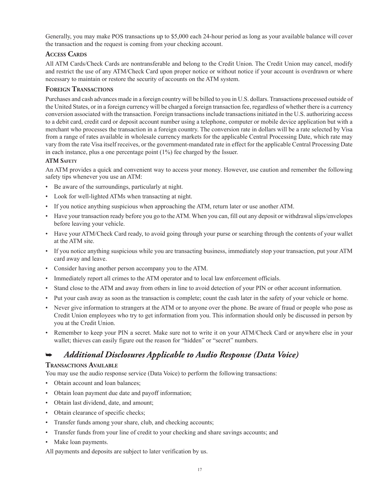Generally, you may make POS transactions up to \$5,000 each 24-hour period as long as your available balance will cover the transaction and the request is coming from your checking account.

#### **ACCESS CARDS**

All ATM Cards/Check Cards are nontransferable and belong to the Credit Union. The Credit Union may cancel, modify and restrict the use of any ATM/Check Card upon proper notice or without notice if your account is overdrawn or where necessary to maintain or restore the security of accounts on the ATM system.

#### **Foreign Transactions**

Purchases and cash advances made in a foreign country will be billed to you in U.S. dollars. Transactions processed outside of the United States, or in a foreign currency will be charged a foreign transaction fee, regardless of whether there is a currency conversion associated with the transaction. Foreign transactions include transactions initiated in the U.S. authorizing access to a debit card, credit card or deposit account number using a telephone, computer or mobile device application but with a merchant who processes the transaction in a foreign country. The conversion rate in dollars will be a rate selected by Visa from a range of rates available in wholesale currency markets for the applicable Central Processing Date, which rate may vary from the rate Visa itself receives, or the government-mandated rate in effect for the applicable Central Processing Date in each instance, plus a one percentage point (1%) fee charged by the Issuer.

#### **ATM Safety**

An ATM provides a quick and convenient way to access your money. However, use caution and remember the following safety tips whenever you use an ATM:

- Be aware of the surroundings, particularly at night.
- Look for well-lighted ATMs when transacting at night.
- If you notice anything suspicious when approaching the ATM, return later or use another ATM.
- Have your transaction ready before you go to the ATM. When you can, fill out any deposit or withdrawal slips/envelopes before leaving your vehicle.
- Have your ATM/Check Card ready, to avoid going through your purse or searching through the contents of your wallet at the ATM site.
- If you notice anything suspicious while you are transacting business, immediately stop your transaction, put your ATM card away and leave.
- Consider having another person accompany you to the ATM.
- Immediately report all crimes to the ATM operator and to local law enforcement officials.
- Stand close to the ATM and away from others in line to avoid detection of your PIN or other account information.
- Put your cash away as soon as the transaction is complete; count the cash later in the safety of your vehicle or home.
- Never give information to strangers at the ATM or to anyone over the phone. Be aware of fraud or people who pose as Credit Union employees who try to get information from you. This information should only be discussed in person by you at the Credit Union.
- Remember to keep your PIN a secret. Make sure not to write it on your ATM/Check Card or anywhere else in your wallet; thieves can easily figure out the reason for "hidden" or "secret" numbers.

## *Additional Disclosures Applicable to Audio Response (Data Voice)*

#### **Transactions Available**

- You may use the audio response service (Data Voice) to perform the following transactions:
- Obtain account and loan balances;
- Obtain loan payment due date and payoff information;
- Obtain last dividend, date, and amount;
- Obtain clearance of specific checks;
- Transfer funds among your share, club, and checking accounts;
- Transfer funds from your line of credit to your checking and share savings accounts; and
- Make loan payments.

All payments and deposits are subject to later verification by us.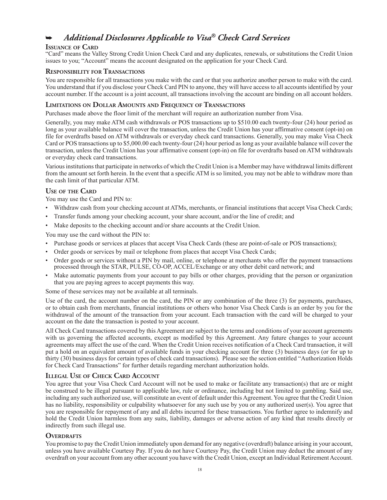## *Additional Disclosures Applicable to Visa® Check Card Services*

#### **Issuance of Card**

"Card" means the Valley Strong Credit Union Check Card and any duplicates, renewals, or substitutions the Credit Union issues to you; "Account" means the account designated on the application for your Check Card.

#### **Responsibility for Transactions**

You are responsible for all transactions you make with the card or that you authorize another person to make with the card. You understand that if you disclose your Check Card PIN to anyone, they will have access to all accounts identified by your account number. If the account is a joint account, all transactions involving the account are binding on all account holders.

#### **Limitations on Dollar Amounts and Frequency of Transactions**

Purchases made above the floor limit of the merchant will require an authorization number from Visa.

Generally, you may make ATM cash withdrawals or POS transactions up to \$510.00 each twenty-four (24) hour period as long as your available balance will cover the transaction, unless the Credit Union has your affirmative consent (opt-in) on file for overdrafts based on ATM withdrawals or everyday check card transactions. Generally, you may make Visa Check Card or POS transactions up to \$5,000.00 each twenty-four (24) hour period as long as your available balance will cover the transaction, unless the Credit Union has your affirmative consent (opt-in) on file for overdrafts based on ATM withdrawals or everyday check card transactions.

Various institutions that participate in networks of which the Credit Union is a Member may have withdrawal limits different from the amount set forth herein. In the event that a specific ATM is so limited, you may not be able to withdraw more than the cash limit of that particular ATM.

#### **Use of the Card**

You may use the Card and PIN to:

- Withdraw cash from your checking account at ATMs, merchants, or financial institutions that accept Visa Check Cards;
- Transfer funds among your checking account, your share account, and/or the line of credit; and
- Make deposits to the checking account and/or share accounts at the Credit Union.

You may use the card without the PIN to:

- Purchase goods or services at places that accept Visa Check Cards (these are point-of-sale or POS transactions);
- Order goods or services by mail or telephone from places that accept Visa Check Cards;
- Order goods or services without a PIN by mail, online, or telephone at merchants who offer the payment transactions processed through the STAR, PULSE, CO-OP, ACCEL/Exchange or any other debit card network; and
- Make automatic payments from your account to pay bills or other charges, providing that the person or organization that you are paying agrees to accept payments this way.

Some of these services may not be available at all terminals.

Use of the card, the account number on the card, the PIN or any combination of the three (3) for payments, purchases, or to obtain cash from merchants, financial institutions or others who honor Visa Check Cards is an order by you for the withdrawal of the amount of the transaction from your account. Each transaction with the card will be charged to your account on the date the transaction is posted to your account.

All Check Card transactions covered by this Agreement are subject to the terms and conditions of your account agreements with us governing the affected accounts, except as modified by this Agreement. Any future changes to your account agreements may affect the use of the card. When the Credit Union receives notification of a Check Card transaction, it will put a hold on an equivalent amount of available funds in your checking account for three (3) business days (or for up to thirty (30) business days for certain types of check card transactions). Please see the section entitled "Authorization Holds for Check Card Transactions" for further details regarding merchant authorization holds.

#### **Illegal Use of Check Card Account**

You agree that your Visa Check Card Account will not be used to make or facilitate any transaction(s) that are or might be construed to be illegal pursuant to applicable law, rule or ordinance, including but not limited to gambling. Said use, including any such authorized use, will constitute an event of default under this Agreement. You agree that the Credit Union has no liability, responsibility or culpability whatsoever for any such use by you or any authorized user(s). You agree that you are responsible for repayment of any and all debts incurred for these transactions. You further agree to indemnify and hold the Credit Union harmless from any suits, liability, damages or adverse action of any kind that results directly or indirectly from such illegal use.

#### **OVERDRAFTS**

You promise to pay the Credit Union immediately upon demand for any negative (overdraft) balance arising in your account, unless you have available Courtesy Pay. If you do not have Courtesy Pay, the Credit Union may deduct the amount of any overdraft on your account from any other account you have with the Credit Union, except an Individual Retirement Account.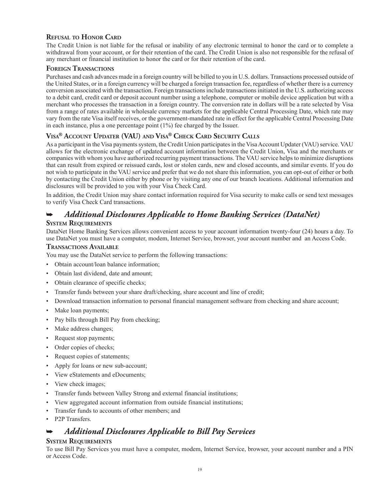#### **Refusal to Honor Card**

The Credit Union is not liable for the refusal or inability of any electronic terminal to honor the card or to complete a withdrawal from your account, or for their retention of the card. The Credit Union is also not responsible for the refusal of any merchant or financial institution to honor the card or for their retention of the card.

#### **Foreign Transactions**

Purchases and cash advances made in a foreign country will be billed to you in U.S. dollars. Transactions processed outside of the United States, or in a foreign currency will be charged a foreign transaction fee, regardless of whether there is a currency conversion associated with the transaction. Foreign transactions include transactions initiated in the U.S. authorizing access to a debit card, credit card or deposit account number using a telephone, computer or mobile device application but with a merchant who processes the transaction in a foreign country. The conversion rate in dollars will be a rate selected by Visa from a range of rates available in wholesale currency markets for the applicable Central Processing Date, which rate may vary from the rate Visa itself receives, or the government-mandated rate in effect for the applicable Central Processing Date in each instance, plus a one percentage point (1%) fee charged by the Issuer.

### **Visa® Account Updater (VAU) and Visa® Check Card Security Calls**

As a participant in the Visa payments system, the Credit Union participates in the Visa Account Updater (VAU) service. VAU allows for the electronic exchange of updated account information between the Credit Union, Visa and the merchants or companies with whom you have authorized recurring payment transactions. The VAU service helps to minimize disruptions that can result from expired or reissued cards, lost or stolen cards, new and closed accounts, and similar events. If you do not wish to participate in the VAU service and prefer that we do not share this information, you can opt-out of either or both by contacting the Credit Union either by phone or by visiting any one of our branch locations. Additional information and disclosures will be provided to you with your Visa Check Card.

In addition, the Credit Union may share contact information required for Visa security to make calls or send text messages to verify Visa Check Card transactions.

### *Additional Disclosures Applicable to Home Banking Services (DataNet)* **System Requirements**

DataNet Home Banking Services allows convenient access to your account information twenty-four (24) hours a day. To use DataNet you must have a computer, modem, Internet Service, browser, your account number and an Access Code.

#### **Transactions Available**

You may use the DataNet service to perform the following transactions:

- Obtain account/loan balance information;
- Obtain last dividend, date and amount;
- Obtain clearance of specific checks;
- Transfer funds between your share draft/checking, share account and line of credit;
- Download transaction information to personal financial management software from checking and share account;
- Make loan payments;
- Pay bills through Bill Pay from checking;
- Make address changes;
- Request stop payments;
- Order copies of checks;
- Request copies of statements;
- Apply for loans or new sub-account;
- View eStatements and eDocuments;
- View check images;
- Transfer funds between Valley Strong and external financial institutions;
- View aggregated account information from outside financial institutions;
- Transfer funds to accounts of other members; and
- P2P Transfers.

## *Additional Disclosures Applicable to Bill Pay Services*

#### **System Requirements**

To use Bill Pay Services you must have a computer, modem, Internet Service, browser, your account number and a PIN or Access Code.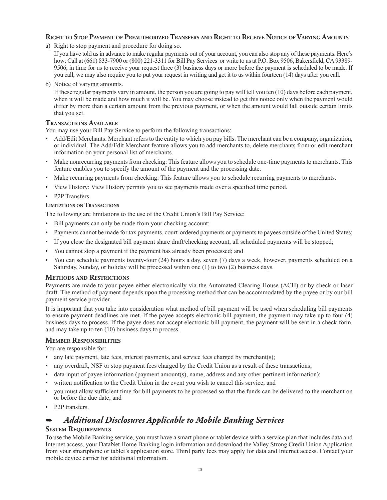#### **Right to Stop Payment of Preauthorized Transfers and Right to Receive Notice of Varying Amounts**

a) Right to stop payment and procedure for doing so.

If you have told us in advance to make regular payments out of your account, you can also stop any of these payments. Here's how: Call at (661) 833-7900 or (800) 221-3311 for Bill Pay Services or write to us at P.O. Box 9506, Bakersfield, CA 93389- 9506, in time for us to receive your request three (3) business days or more before the payment is scheduled to be made. If you call, we may also require you to put your request in writing and get it to us within fourteen (14) days after you call.

b) Notice of varying amounts.

If these regular payments vary in amount, the person you are going to pay will tell you ten (10) days before each payment, when it will be made and how much it will be. You may choose instead to get this notice only when the payment would differ by more than a certain amount from the previous payment, or when the amount would fall outside certain limits that you set.

#### **Transactions Available**

You may use your Bill Pay Service to perform the following transactions:

- Add/Edit Merchants: Merchant refers to the entity to which you pay bills. The merchant can be a company, organization, or individual. The Add/Edit Merchant feature allows you to add merchants to, delete merchants from or edit merchant information on your personal list of merchants.
- Make nonrecurring payments from checking: This feature allows you to schedule one-time payments to merchants. This feature enables you to specify the amount of the payment and the processing date.
- Make recurring payments from checking: This feature allows you to schedule recurring payments to merchants.
- View History: View History permits you to see payments made over a specified time period.
- P<sub>2</sub>P Transfers.

#### **Limitations on Transactions**

The following are limitations to the use of the Credit Union's Bill Pay Service:

- Bill payments can only be made from your checking account;
- Payments cannot be made for tax payments, court-ordered payments or payments to payees outside of the United States;
- If you close the designated bill payment share draft/checking account, all scheduled payments will be stopped;
- You cannot stop a payment if the payment has already been processed; and
- You can schedule payments twenty-four (24) hours a day, seven (7) days a week, however, payments scheduled on a Saturday, Sunday, or holiday will be processed within one (1) to two (2) business days.

#### **Methods and Restrictions**

Payments are made to your payee either electronically via the Automated Clearing House (ACH) or by check or laser draft. The method of payment depends upon the processing method that can be accommodated by the payee or by our bill payment service provider.

It is important that you take into consideration what method of bill payment will be used when scheduling bill payments to ensure payment deadlines are met. If the payee accepts electronic bill payment, the payment may take up to four (4) business days to process. If the payee does not accept electronic bill payment, the payment will be sent in a check form, and may take up to ten (10) business days to process.

#### **Member Responsibilities**

You are responsible for:

- any late payment, late fees, interest payments, and service fees charged by merchant(s);
- any overdraft, NSF or stop payment fees charged by the Credit Union as a result of these transactions;
- data input of payee information (payment amount(s), name, address and any other pertinent information);
- written notification to the Credit Union in the event you wish to cancel this service; and
- you must allow sufficient time for bill payments to be processed so that the funds can be delivered to the merchant on or before the due date; and
- P<sub>2P</sub> transfers.

## *Additional Disclosures Applicable to Mobile Banking Services*

#### **System Requirements**

To use the Mobile Banking service, you must have a smart phone or tablet device with a service plan that includes data and Internet access, your DataNet Home Banking login information and download the Valley Strong Credit Union Application from your smartphone or tablet's application store. Third party fees may apply for data and Internet access. Contact your mobile device carrier for additional information.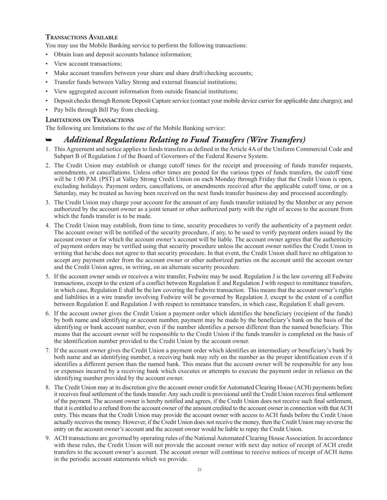#### **Transactions Available**

You may use the Mobile Banking service to perform the following transactions:

- Obtain loan and deposit accounts balance information;
- View account transactions;
- Make account transfers between your share and share draft/checking accounts;
- Transfer funds between Valley Strong and external financial institutions;
- View aggregated account information from outside financial institutions;
- Deposit checks through Remote Deposit Capture service (contact your mobile device carrier for applicable date charges); and
- Pay bills through Bill Pay from checking.

#### **Limitations on Transactions**

The following are limitations to the use of the Mobile Banking service:

### *Additional Regulations Relating to Fund Transfers (Wire Transfers)*

- 1. This Agreement and notice applies to funds transfers as defined in the Article 4A of the Uniform Commercial Code and Subpart B of Regulation J of the Board of Governors of the Federal Reserve System.
- 2. The Credit Union may establish or change cutoff times for the receipt and processing of funds transfer requests, amendments, or cancellations. Unless other times are posted for the various types of funds transfers, the cutoff time will be 1:00 P.M. (PST) at Valley Strong Credit Union on each Monday through Friday that the Credit Union is open, excluding holidays. Payment orders, cancellations, or amendments received after the applicable cutoff time, or on a Saturday, may be treated as having been received on the next funds transfer business day and processed accordingly.
- 3. The Credit Union may charge your account for the amount of any funds transfer initiated by the Member or any person authorized by the account owner as a joint tenant or other authorized party with the right of access to the account from which the funds transfer is to be made.
- 4. The Credit Union may establish, from time to time, security procedures to verify the authenticity of a payment order. The account owner will be notified of the security procedure, if any, to be used to verify payment orders issued by the account owner or for which the account owner's account will be liable. The account owner agrees that the authenticity of payment orders may be verified using that security procedure unless the account owner notifies the Credit Union in writing that he/she does not agree to that security procedure. In that event, the Credit Union shall have no obligation to accept any payment order from the account owner or other authorized parties on the account until the account owner and the Credit Union agree, in writing, on an alternate security procedure.
- 5. If the account owner sends or receives a wire transfer, Fedwire may be used. Regulation J is the law covering all Fedwire transactions, except to the extent of a conflict between Regulation E and Regulation J with respect to remittance transfers, in which case, Regulation E shall be the law covering the Fedwire transaction. This means that the account owner's rights and liabilities in a wire transfer involving Fedwire will be governed by Regulation J, except to the extent of a conflict between Regulation E and Regulation J with respect to remittance transfers, in which case, Regulation E shall govern.
- 6. If the account owner gives the Credit Union a payment order which identifies the beneficiary (recipient of the funds) by both name and identifying or account number, payment may be made by the beneficiary's bank on the basis of the identifying or bank account number, even if the number identifies a person different than the named beneficiary. This means that the account owner will be responsible to the Credit Union if the funds transfer is completed on the basis of the identification number provided to the Credit Union by the account owner.
- 7. If the account owner gives the Credit Union a payment order which identifies an intermediary or beneficiary's bank by both name and an identifying number, a receiving bank may rely on the number as the proper identification even if it identifies a different person than the named bank. This means that the account owner will be responsible for any loss or expenses incurred by a receiving bank which executes or attempts to execute the payment order in reliance on the identifying number provided by the account owner.
- 8. The Credit Union may at its discretion give the account owner credit for Automated Clearing House (ACH) payments before it receives final settlement of the funds transfer. Any such credit is provisional until the Credit Union receives final settlement of the payment. The account owner is hereby notified and agrees, if the Credit Union does not receive such final settlement, that it is entitled to a refund from the account owner of the amount credited to the account owner in connection with that ACH entry. This means that the Credit Union may provide the account owner with access to ACH funds before the Credit Union actually receives the money. However, if the Credit Union does not receive the money, then the Credit Union may reverse the entry on the account owner's account and the account owner would be liable to repay the Credit Union.
- 9. ACH transactions are governed by operating rules of the National Automated Clearing House Association. In accordance with these rules, the Credit Union will not provide the account owner with next day notice of receipt of ACH credit transfers to the account owner's account. The account owner will continue to receive notices of receipt of ACH items in the periodic account statements which we provide.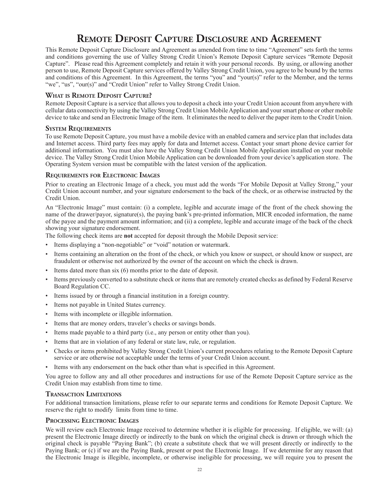## **Remote Deposit Capture Disclosure and Agreement**

This Remote Deposit Capture Disclosure and Agreement as amended from time to time "Agreement" sets forth the terms and conditions governing the use of Valley Strong Credit Union's Remote Deposit Capture services "Remote Deposit Capture". Please read this Agreement completely and retain it with your personal records. By using, or allowing another person to use, Remote Deposit Capture services offered by Valley Strong Credit Union, you agree to be bound by the terms and conditions of this Agreement. In this Agreement, the terms "you" and "your(s)" refer to the Member, and the terms "we", "us", "our(s)" and "Credit Union" refer to Valley Strong Credit Union.

#### **What is Remote Deposit Capture?**

Remote Deposit Capture is a service that allows you to deposit a check into your Credit Union account from anywhere with cellular data connectivity by using the Valley Strong Credit Union Mobile Application and your smart phone or other mobile device to take and send an Electronic Image of the item. It eliminates the need to deliver the paper item to the Credit Union.

#### **System Requirements**

To use Remote Deposit Capture, you must have a mobile device with an enabled camera and service plan that includes data and Internet access. Third party fees may apply for data and Internet access. Contact your smart phone device carrier for additional information. You must also have the Valley Strong Credit Union Mobile Application installed on your mobile device. The Valley Strong Credit Union Mobile Application can be downloaded from your device's application store. The Operating System version must be compatible with the latest version of the application.

#### **Requirements for Electronic Images**

Prior to creating an Electronic Image of a check, you must add the words "For Mobile Deposit at Valley Strong," your Credit Union account number, and your signature endorsement to the back of the check, or as otherwise instructed by the Credit Union.

An "Electronic Image" must contain: (i) a complete, legible and accurate image of the front of the check showing the name of the drawer/payor, signature(s), the paying bank's pre-printed information, MICR encoded information, the name of the payee and the payment amount information; and (ii) a complete, legible and accurate image of the back of the check showing your signature endorsement.

The following check items are **not** accepted for deposit through the Mobile Deposit service:

- Items displaying a "non-negotiable" or "void" notation or watermark.
- Items containing an alteration on the front of the check, or which you know or suspect, or should know or suspect, are fraudulent or otherwise not authorized by the owner of the account on which the check is drawn.
- Items dated more than six (6) months prior to the date of deposit.
- Items previously converted to a substitute check or items that are remotely created checks as defined by Federal Reserve Board Regulation CC.
- Items issued by or through a financial institution in a foreign country.
- Items not payable in United States currency.
- Items with incomplete or illegible information.
- Items that are money orders, traveler's checks or savings bonds.
- Items made payable to a third party (i.e., any person or entity other than you).
- Items that are in violation of any federal or state law, rule, or regulation.
- Checks or items prohibited by Valley Strong Credit Union's current procedures relating to the Remote Deposit Capture service or are otherwise not acceptable under the terms of your Credit Union account.
- Items with any endorsement on the back other than what is specified in this Agreement.

You agree to follow any and all other procedures and instructions for use of the Remote Deposit Capture service as the Credit Union may establish from time to time.

#### **Transaction Limitations**

For additional transaction limitations, please refer to our separate terms and conditions for Remote Deposit Capture. We reserve the right to modify limits from time to time.

#### **Processing Electronic Images**

We will review each Electronic Image received to determine whether it is eligible for processing. If eligible, we will: (a) present the Electronic Image directly or indirectly to the bank on which the original check is drawn or through which the original check is payable "Paying Bank"; (b) create a substitute check that we will present directly or indirectly to the Paying Bank; or (c) if we are the Paying Bank, present or post the Electronic Image. If we determine for any reason that the Electronic Image is illegible, incomplete, or otherwise ineligible for processing, we will require you to present the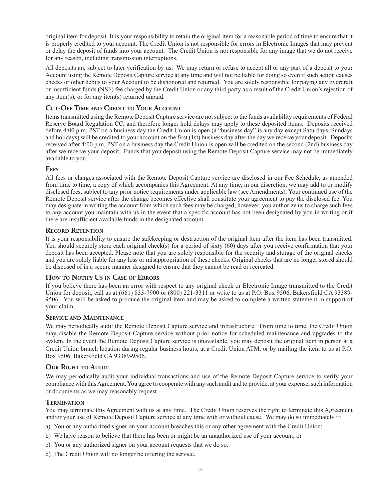original item for deposit. It is your responsibility to retain the original item for a reasonable period of time to ensure that it is properly credited to your account. The Credit Union is not responsible for errors in Electronic Images that may prevent or delay the deposit of funds into your account. The Credit Union is not responsible for any image that we do not receive for any reason, including transmission interruptions.

All deposits are subject to later verification by us. We may return or refuse to accept all or any part of a deposit to your Account using the Remote Deposit Capture service at any time and will not be liable for doing so even if such action causes checks or other debits to your Account to be dishonored and returned. You are solely responsible for paying any overdraft or insufficient funds (NSF) fee charged by the Credit Union or any third party as a result of the Credit Union's rejection of any item(s), or for any item(s) returned unpaid.

#### **Cut-Off Time and Credit to Your Account**

Items transmitted using the Remote Deposit Capture service are not subject to the funds availability requirements of Federal Reserve Board Regulation CC, and therefore longer hold delays may apply to these deposited items. Deposits received before 4:00 p.m. PST on a business day the Credit Union is open (a "business day" is any day except Saturdays, Sundays and holidays) will be credited to your account on the first (1st) business day after the day we receive your deposit. Deposits received after 4:00 p.m. PST on a business day the Credit Union is open will be credited on the second (2nd) business day after we receive your deposit. Funds that you deposit using the Remote Deposit Capture service may not be immediately available to you.

#### **Fees**

All fees or charges associated with the Remote Deposit Capture service are disclosed in our Fee Schedule, as amended from time to time, a copy of which accompanies this Agreement. At any time, in our discretion, we may add to or modify disclosed fees, subject to any prior notice requirements under applicable law (see Amendments). Your continued use of the Remote Deposit service after the change becomes effective shall constitute your agreement to pay the disclosed fee. You may designate in writing the account from which such fees may be charged; however, you authorize us to charge such fees to any account you maintain with us in the event that a specific account has not been designated by you in writing or if there are insufficient available funds in the designated account.

#### **Record Retention**

It is your responsibility to ensure the safekeeping or destruction of the original item after the item has been transmitted. You should securely store each original check(s) for a period of sixty (60) days after you receive confirmation that your deposit has been accepted. Please note that you are solely responsible for the security and storage of the original checks and you are solely liable for any loss or misappropriation of these checks. Original checks that are no longer stored should be disposed of in a secure manner designed to ensure that they cannot be read or recreated.

#### **How to Notify Us in Case of Errors**

If you believe there has been an error with respect to any original check or Electronic Image transmitted to the Credit Union for deposit, call us at (661) 833-7900 or (800) 221-3311 or write to us at P.O. Box 9506, Bakersfield CA 93389- 9506. You will be asked to produce the original item and may be asked to complete a written statement in support of your claim.

#### **Service and Maintenance**

We may periodically audit the Remote Deposit Capture service and infrastructure. From time to time, the Credit Union may disable the Remote Deposit Capture service without prior notice for scheduled maintenance and upgrades to the system. In the event the Remote Deposit Capture service is unavailable, you may deposit the original item in person at a Credit Union branch location during regular business hours, at a Credit Union ATM, or by mailing the item to us at P.O. Box 9506, Bakersfield CA 93389-9506.

#### **Our Right to Audit**

We may periodically audit your individual transactions and use of the Remote Deposit Capture service to verify your compliance with this Agreement. You agree to cooperate with any such audit and to provide, at your expense, such information or documents as we may reasonably request.

#### **Termination**

You may terminate this Agreement with us at any time. The Credit Union reserves the right to terminate this Agreement and/or your use of Remote Deposit Capture service at any time with or without cause. We may do so immediately if:

- a) You or any authorized signer on your account breaches this or any other agreement with the Credit Union;
- b) We have reason to believe that there has been or might be an unauthorized use of your account; or
- c) You or any authorized signer on your account requests that we do so.
- d) The Credit Union will no longer be offering the service.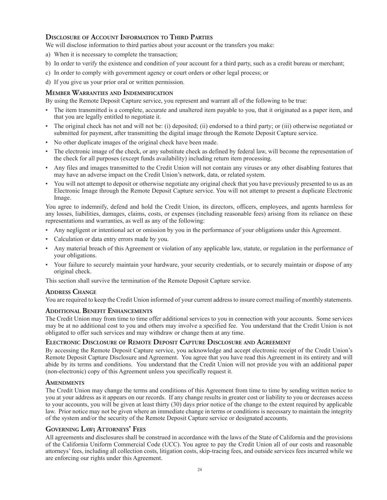#### **Disclosure of Account Information to Third Parties**

We will disclose information to third parties about your account or the transfers you make:

- a) When it is necessary to complete the transaction;
- b) In order to verify the existence and condition of your account for a third party, such as a credit bureau or merchant;
- c) In order to comply with government agency or court orders or other legal process; or
- d) If you give us your prior oral or written permission.

#### **Member Warranties and Indemnification**

By using the Remote Deposit Capture service, you represent and warrant all of the following to be true:

- The item transmitted is a complete, accurate and unaltered item payable to you, that it originated as a paper item, and that you are legally entitled to negotiate it.
- The original check has not and will not be: (i) deposited; (ii) endorsed to a third party; or (iii) otherwise negotiated or submitted for payment, after transmitting the digital image through the Remote Deposit Capture service.
- No other duplicate images of the original check have been made.
- The electronic image of the check, or any substitute check as defined by federal law, will become the representation of the check for all purposes (except funds availability) including return item processing.
- Any files and images transmitted to the Credit Union will not contain any viruses or any other disabling features that may have an adverse impact on the Credit Union's network, data, or related system.
- You will not attempt to deposit or otherwise negotiate any original check that you have previously presented to us as an Electronic Image through the Remote Deposit Capture service. You will not attempt to present a duplicate Electronic Image.

You agree to indemnify, defend and hold the Credit Union, its directors, officers, employees, and agents harmless for any losses, liabilities, damages, claims, costs, or expenses (including reasonable fees) arising from its reliance on these representations and warranties, as well as any of the following:

- Any negligent or intentional act or omission by you in the performance of your obligations under this Agreement.
- Calculation or data entry errors made by you.
- Any material breach of this Agreement or violation of any applicable law, statute, or regulation in the performance of your obligations.
- Your failure to securely maintain your hardware, your security credentials, or to securely maintain or dispose of any original check.

This section shall survive the termination of the Remote Deposit Capture service.

#### **Address Change**

You are required to keep the Credit Union informed of your current address to insure correct mailing of monthly statements.

#### **Additional Benefit Enhancements**

The Credit Union may from time to time offer additional services to you in connection with your accounts. Some services may be at no additional cost to you and others may involve a specified fee. You understand that the Credit Union is not obligated to offer such services and may withdraw or change them at any time.

#### **Electronic Disclosure of Remote Deposit Capture Disclosure and Agreement**

By accessing the Remote Deposit Capture service, you acknowledge and accept electronic receipt of the Credit Union's Remote Deposit Capture Disclosure and Agreement. You agree that you have read this Agreement in its entirety and will abide by its terms and conditions. You understand that the Credit Union will not provide you with an additional paper (non-electronic) copy of this Agreement unless you specifically request it.

#### **Amendments**

The Credit Union may change the terms and conditions of this Agreement from time to time by sending written notice to you at your address as it appears on our records. If any change results in greater cost or liability to you or decreases access to your accounts, you will be given at least thirty (30) days prior notice of the change to the extent required by applicable law. Prior notice may not be given where an immediate change in terms or conditions is necessary to maintain the integrity of the system and/or the security of the Remote Deposit Capture service or designated accounts.

#### **Governing Law; Attorneys' Fees**

All agreements and disclosures shall be construed in accordance with the laws of the State of California and the provisions of the California Uniform Commercial Code (UCC). You agree to pay the Credit Union all of our costs and reasonable attorneys' fees, including all collection costs, litigation costs, skip-tracing fees, and outside services fees incurred while we are enforcing our rights under this Agreement.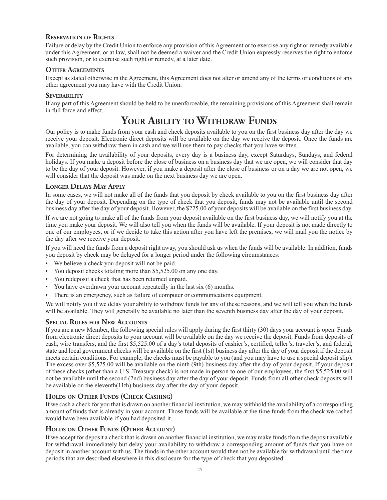#### **Reservation of Rights**

Failure or delay by the Credit Union to enforce any provision of this Agreement or to exercise any right or remedy available under this Agreement, or at law, shall not be deemed a waiver and the Credit Union expressly reserves the right to enforce such provision, or to exercise such right or remedy, at a later date.

#### **Other Agreements**

Except as stated otherwise in the Agreement, this Agreement does not alter or amend any of the terms or conditions of any other agreement you may have with the Credit Union.

#### **Severability**

If any part of this Agreement should be held to be unenforceable, the remaining provisions of this Agreement shall remain in full force and effect.

## **Your Ability to Withdraw Funds**

Our policy is to make funds from your cash and check deposits available to you on the first business day after the day we receive your deposit. Electronic direct deposits will be available on the day we receive the deposit. Once the funds are available, you can withdraw them in cash and we will use them to pay checks that you have written.

For determining the availability of your deposits, every day is a business day, except Saturdays, Sundays, and federal holidays. If you make a deposit before the close of business on a business day that we are open, we will consider that day to be the day of your deposit. However, if you make a deposit after the close of business or on a day we are not open, we will consider that the deposit was made on the next business day we are open.

#### **Longer Delays May Apply**

In some cases, we will not make all of the funds that you deposit by check available to you on the first business day after the day of your deposit. Depending on the type of check that you deposit, funds may not be available until the second business day after the day of your deposit. However, the \$225.00 of your deposits will be available on the first business day.

If we are not going to make all of the funds from your deposit available on the first business day, we will notify you at the time you make your deposit. We will also tell you when the funds will be available. If your deposit is not made directly to one of our employees, or if we decide to take this action after you have left the premises, we will mail you the notice by the day after we receive your deposit.

If you will need the funds from a deposit right away, you should ask us when the funds will be available. In addition, funds you deposit by check may be delayed for a longer period under the following circumstances:

- We believe a check you deposit will not be paid.
- You deposit checks totaling more than \$5,525.00 on any one day.
- You redeposit a check that has been returned unpaid.
- You have overdrawn your account repeatedly in the last six (6) months.
- There is an emergency, such as failure of computer or communications equipment.

We will notify you if we delay your ability to withdraw funds for any of these reasons, and we will tell you when the funds will be available. They will generally be available no later than the seventh business day after the day of your deposit.

#### **Special Rules for New Accounts**

If you are a new Member, the following special rules will apply during the first thirty (30) days your account is open. Funds from electronic direct deposits to your account will be available on the day we receive the deposit. Funds from deposits of cash, wire transfers, and the first \$5,525.00 of a day's total deposits of cashier's, certified, teller's, traveler's, and federal, state and local government checks will be available on the first (1st) business day after the day of your deposit if the deposit meets certain conditions. For example, the checks must be payable to you (and you may have to use a special deposit slip). The excess over \$5,525.00 will be available on the ninth (9th) business day after the day of your deposit. If your deposit of these checks (other than a U.S. Treasury check) is not made in person to one of our employees, the first \$5,525.00 will not be available until the second (2nd) business day after the day of your deposit. Funds from all other check deposits will be available on the eleventh(11th) business day after the day of your deposit.

#### **Holds on Other Funds (Check Cashing)**

If we cash a check for you that is drawn on another financial institution, we may withhold the availability of a corresponding amount of funds that is already in your account. Those funds will be available at the time funds from the check we cashed would have been available if you had deposited it.

#### **Holds on Other Funds (Other Account)**

If we accept for deposit a check that is drawn on another financial institution, we may make funds from the deposit available for withdrawal immediately but delay your availability to withdraw a corresponding amount of funds that you have on deposit in another account with us. The funds in the other account would then not be available for withdrawal until the time periods that are described elsewhere in this disclosure for the type of check that you deposited.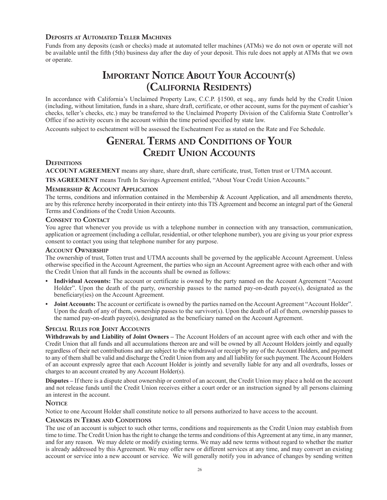#### **Deposits at Automated Teller Machines**

Funds from any deposits (cash or checks) made at automated teller machines (ATMs) we do not own or operate will not be available until the fifth (5th) business day after the day of your deposit. This rule does not apply at ATMs that we own or operate.

## **Important Notice About Your Account(s) (California Residents)**

In accordance with California's Unclaimed Property Law, C.C.P. §1500, et seq., any funds held by the Credit Union (including, without limitation, funds in a share, share draft, certificate, or other account, sums for the payment of cashier's checks, teller's checks, etc.) may be transferred to the Unclaimed Property Division of the California State Controller's Office if no activity occurs in the account within the time period specified by state law.

Accounts subject to escheatment will be assessed the Escheatment Fee as stated on the Rate and Fee Schedule.

## **General Terms and Conditions of Your Credit Union Accounts**

#### **Definitions**

**ACCOUNT AGREEMENT** means any share, share draft, share certificate, trust, Totten trust or UTMA account.

**TIS AGREEMENT** means Truth In Savings Agreement entitled, "About Your Credit Union Accounts."

#### **Membership & Account Application**

The terms, conditions and information contained in the Membership & Account Application, and all amendments thereto, are by this reference hereby incorporated in their entirety into this TIS Agreement and become an integral part of the General Terms and Conditions of the Credit Union Accounts.

#### **Consent to Contact**

You agree that whenever you provide us with a telephone number in connection with any transaction, communication, application or agreement (including a cellular, residential, or other telephone number), you are giving us your prior express consent to contact you using that telephone number for any purpose.

#### **Account Ownership**

The ownership of trust, Totten trust and UTMA accounts shall be governed by the applicable Account Agreement. Unless otherwise specified in the Account Agreement, the parties who sign an Account Agreement agree with each other and with the Credit Union that all funds in the accounts shall be owned as follows:

- **• Individual Accounts:** The account or certificate is owned by the party named on the Account Agreement "Account Holder". Upon the death of the party, ownership passes to the named pay-on-death payee(s), designated as the beneficiary(ies) on the Account Agreement.
- **Joint Accounts:** The account or certificate is owned by the parties named on the Account Agreement "Account Holder". Upon the death of any of them, ownership passes to the survivor(s). Upon the death of all of them, ownership passes to the named pay-on-death payee(s), designated as the beneficiary named on the Account Agreement.

#### **Special Rules for Joint Accounts**

**Withdrawals by and Liability of Joint Owners –** The Account Holders of an account agree with each other and with the Credit Union that all funds and all accumulations thereon are and will be owned by all Account Holders jointly and equally regardless of their net contributions and are subject to the withdrawal or receipt by any of the Account Holders, and payment to any of them shall be valid and discharge the Credit Union from any and all liability for such payment. The Account Holders of an account expressly agree that each Account Holder is jointly and severally liable for any and all overdrafts, losses or charges to an account created by any Account Holder(s).

**Disputes –** If there is a dispute about ownership or control of an account, the Credit Union may place a hold on the account and not release funds until the Credit Union receives either a court order or an instruction signed by all persons claiming an interest in the account.

#### NOTICE

Notice to one Account Holder shall constitute notice to all persons authorized to have access to the account.

#### **Changes in Terms and Conditions**

The use of an account is subject to such other terms, conditions and requirements as the Credit Union may establish from time to time. The Credit Union has the right to change the terms and conditions of this Agreement at any time, in any manner, and for any reason. We may delete or modify existing terms. We may add new terms without regard to whether the matter is already addressed by this Agreement. We may offer new or different services at any time, and may convert an existing account or service into a new account or service. We will generally notify you in advance of changes by sending written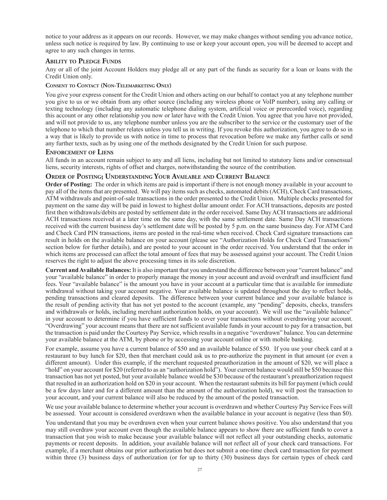notice to your address as it appears on our records. However, we may make changes without sending you advance notice, unless such notice is required by law. By continuing to use or keep your account open, you will be deemed to accept and agree to any such changes in terms.

#### **Ability to Pledge Funds**

Any or all of the joint Account Holders may pledge all or any part of the funds as security for a loan or loans with the Credit Union only.

#### **Consent to Contact (Non-Telemarketing Only)**

You give your express consent for the Credit Union and others acting on our behalf to contact you at any telephone number you give to us or we obtain from any other source (including any wireless phone or VoIP number), using any calling or texting technology (including any automatic telephone dialing system, artificial voice or prerecorded voice), regarding this account or any other relationship you now or later have with the Credit Union. You agree that you have not provided, and will not provide to us, any telephone number unless you are the subscriber to the service or the customary user of the telephone to which that number relates unless you tell us in writing. If you revoke this authorization, you agree to do so in a way that is likely to provide us with notice in time to process that revocation before we make any further calls or send any further texts, such as by using one of the methods designated by the Credit Union for such purpose.

#### **Enforcement of Liens**

All funds in an account remain subject to any and all liens, including but not limited to statutory liens and/or consensual liens, security interests, rights of offset and charges, notwithstanding the source of the contribution.

#### **Order of Posting; Understanding Your Available and Current Balance**

**Order of Posting:** The order in which items are paid is important if there is not enough money available in your account to pay all of the items that are presented. We will pay items such as checks, automated debits (ACH), Check Card transactions, ATM withdrawals and point-of-sale transactions in the order presented to the Credit Union. Multiple checks presented for payment on the same day will be paid in lowest to highest dollar amount order. For ACH transactions, deposits are posted first then withdrawals/debits are posted by settlement date in the order received. Same Day ACH transactions are additional ACH transactions received at a later time on the same day, with the same settlement date. Same Day ACH transactions received with the current business day's settlement date will be posted by 5 p.m. on the same business day. For ATM Card and Check Card PIN transactions, items are posted in the real-time when received. Check Card signature transactions can result in holds on the available balance on your account (please see "Authorization Holds for Check Card Transactions" section below for further details), and are posted to your account in the order received. You understand that the order in which items are processed can affect the total amount of fees that may be assessed against your account. The Credit Union reserves the right to adjust the above processing times in its sole discretion.

**Current and Available Balances:** It is also important that you understand the difference between your "current balance" and your "available balance" in order to properly manage the money in your account and avoid overdraft and insufficient fund fees. Your "available balance" is the amount you have in your account at a particular time that is available for immediate withdrawal without taking your account negative. Your available balance is updated throughout the day to reflect holds, pending transactions and cleared deposits. The difference between your current balance and your available balance is the result of pending activity that has not yet posted to the account (example, any "pending" deposits, checks, transfers and withdrawals or holds, including merchant authorization holds, on your account). We will use the "available balance" in your account to determine if you have sufficient funds to cover your transactions without overdrawing your account. "Overdrawing" your account means that there are not sufficient available funds in your account to pay for a transaction, but the transaction is paid under the Courtesy Pay Service, which results in a negative "overdrawn" balance. You can determine your available balance at the ATM, by phone or by accessing your account online or with mobile banking.

For example, assume you have a current balance of \$50 and an available balance of \$50. If you use your check card at a restaurant to buy lunch for \$20, then that merchant could ask us to pre-authorize the payment in that amount (or even a different amount). Under this example, if the merchant requested preauthorization in the amount of \$20, we will place a "hold" on your account for \$20 (referred to as an "authorization hold"). Your current balance would still be \$50 because this transaction has not yet posted, but your available balance would be \$30 because of the restaurant's preauthorization request that resulted in an authorization hold on \$20 in your account. When the restaurant submits its bill for payment (which could be a few days later and for a different amount than the amount of the authorization hold), we will post the transaction to your account, and your current balance will also be reduced by the amount of the posted transaction.

We use your available balance to determine whether your account is overdrawn and whether Courtesy Pay Service Fees will be assessed. Your account is considered overdrawn when the available balance in your account is negative (less than \$0).

You understand that you may be overdrawn even when your current balance shows positive. You also understand that you may still overdraw your account even though the available balance appears to show there are sufficient funds to cover a transaction that you wish to make because your available balance will not reflect all your outstanding checks, automatic payments or recent deposits. In addition, your available balance will not reflect all of your check card transactions. For example, if a merchant obtains our prior authorization but does not submit a one-time check card transaction for payment within three (3) business days of authorization (or for up to thirty (30) business days for certain types of check card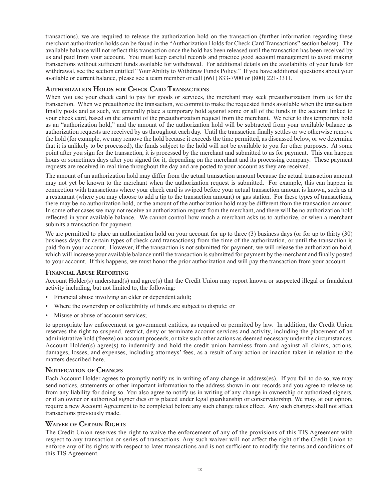transactions), we are required to release the authorization hold on the transaction (further information regarding these merchant authorization holds can be found in the "Authorization Holds for Check Card Transactions" section below). The available balance will not reflect this transaction once the hold has been released until the transaction has been received by us and paid from your account. You must keep careful records and practice good account management to avoid making transactions without sufficient funds available for withdrawal. For additional details on the availability of your funds for withdrawal, see the section entitled "Your Ability to Withdraw Funds Policy." If you have additional questions about your available or current balance, please see a team member or call (661) 833-7900 or (800) 221-3311.

#### **Authorization Holds for Check Card Transactions**

When you use your check card to pay for goods or services, the merchant may seek preauthorization from us for the transaction. When we preauthorize the transaction, we commit to make the requested funds available when the transaction finally posts and as such, we generally place a temporary hold against some or all of the funds in the account linked to your check card, based on the amount of the preauthorization request from the merchant. We refer to this temporary hold as an "authorization hold," and the amount of the authorization hold will be subtracted from your available balance as authorization requests are received by us throughout each day. Until the transaction finally settles or we otherwise remove the hold (for example, we may remove the hold because it exceeds the time permitted, as discussed below, or we determine that it is unlikely to be processed), the funds subject to the hold will not be available to you for other purposes. At some point after you sign for the transaction, it is processed by the merchant and submitted to us for payment. This can happen hours or sometimes days after you signed for it, depending on the merchant and its processing company. These payment requests are received in real time throughout the day and are posted to your account as they are received.

The amount of an authorization hold may differ from the actual transaction amount because the actual transaction amount may not yet be known to the merchant when the authorization request is submitted. For example, this can happen in connection with transactions where your check card is swiped before your actual transaction amount is known, such as at a restaurant (where you may choose to add a tip to the transaction amount) or gas station. For these types of transactions, there may be no authorization hold, or the amount of the authorization hold may be different from the transaction amount. In some other cases we may not receive an authorization request from the merchant, and there will be no authorization hold reflected in your available balance. We cannot control how much a merchant asks us to authorize, or when a merchant submits a transaction for payment.

We are permitted to place an authorization hold on your account for up to three (3) business days (or for up to thirty (30) business days for certain types of check card transactions) from the time of the authorization, or until the transaction is paid from your account. However, if the transaction is not submitted for payment, we will release the authorization hold, which will increase your available balance until the transaction is submitted for payment by the merchant and finally posted to your account. If this happens, we must honor the prior authorization and will pay the transaction from your account.

#### **Financial Abuse Reporting**

Account Holder(s) understand(s) and agree(s) that the Credit Union may report known or suspected illegal or fraudulent activity including, but not limited to, the following:

- Financial abuse involving an elder or dependent adult;
- Where the ownership or collectibility of funds are subject to dispute; or
- Misuse or abuse of account services;

to appropriate law enforcement or government entities, as required or permitted by law. In addition, the Credit Union reserves the right to suspend, restrict, deny or terminate account services and activity, including the placement of an administrative hold (freeze) on account proceeds, or take such other actions as deemed necessary under the circumstances. Account Holder(s) agree(s) to indemnify and hold the credit union harmless from and against all claims, actions, damages, losses, and expenses, including attorneys' fees, as a result of any action or inaction taken in relation to the matters described here.

#### **Notification of Changes**

Each Account Holder agrees to promptly notify us in writing of any change in address(es). If you fail to do so, we may send notices, statements or other important information to the address shown in our records and you agree to release us from any liability for doing so. You also agree to notify us in writing of any change in ownership or authorized signers, or if an owner or authorized signer dies or is placed under legal guardianship or conservatorship. We may, at our option, require a new Account Agreement to be completed before any such change takes effect. Any such changes shall not affect transactions previously made.

#### **Waiver of Certain Rights**

The Credit Union reserves the right to waive the enforcement of any of the provisions of this TIS Agreement with respect to any transaction or series of transactions. Any such waiver will not affect the right of the Credit Union to enforce any of its rights with respect to later transactions and is not sufficient to modify the terms and conditions of this TIS Agreement.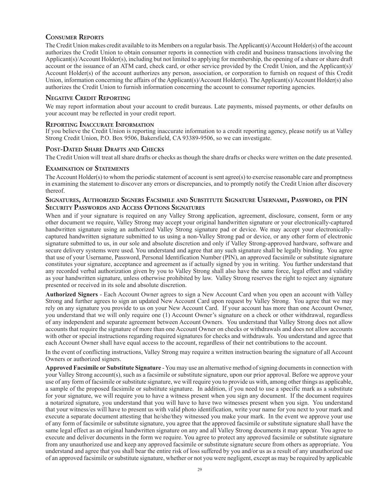#### **Consumer Reports**

The Credit Union makes credit available to its Members on a regular basis. The Applicant(s)/Account Holder(s) of the account authorizes the Credit Union to obtain consumer reports in connection with credit and business transactions involving the Applicant(s)/Account Holder(s), including but not limited to applying for membership, the opening of a share or share draft account or the issuance of an ATM card, check card, or other service provided by the Credit Union, and the Applicant(s)/ Account Holder(s) of the account authorizes any person, association, or corporation to furnish on request of this Credit Union, information concerning the affairs of the Applicant(s)/Account Holder(s). The Applicant(s)/Account Holder(s) also authorizes the Credit Union to furnish information concerning the account to consumer reporting agencies.

#### **Negative Credit Reporting**

We may report information about your account to credit bureaus. Late payments, missed payments, or other defaults on your account may be reflected in your credit report.

#### **Reporting Inaccurate Information**

If you believe the Credit Union is reporting inaccurate information to a credit reporting agency, please notify us at Valley Strong Credit Union, P.O. Box 9506, Bakersfield, CA 93389-9506, so we can investigate.

#### **Post-Dated Share Drafts and Checks**

The Credit Union will treat all share drafts or checks as though the share drafts or checks were written on the date presented.

#### **Examination of Statements**

The Account Holder(s) to whom the periodic statement of account is sent agree(s) to exercise reasonable care and promptness in examining the statement to discover any errors or discrepancies, and to promptly notify the Credit Union after discovery thereof.

#### **Signatures, Authorized Signers Facsimile and Substitute Signature Username, Password, or PIN Security Passwords and Access Options Signatures**

When and if your signature is required on any Valley Strong application, agreement, disclosure, consent, form or any other document we require, Valley Strong may accept your original handwritten signature or your electronically-captured handwritten signature using an authorized Valley Strong signature pad or device. We may accept your electronicallycaptured handwritten signature submitted to us using a non-Valley Strong pad or device, or any other form of electronic signature submitted to us, in our sole and absolute discretion and only if Valley Strong-approved hardware, software and secure delivery systems were used. You understand and agree that any such signature shall be legally binding. You agree that use of your Username, Password, Personal Identification Number (PIN), an approved facsimile or substitute signature constitutes your signature, acceptance and agreement as if actually signed by you in writing. You further understand that any recorded verbal authorization given by you to Valley Strong shall also have the same force, legal effect and validity as your handwritten signature, unless otherwise prohibited by law. Valley Strong reserves the right to reject any signature presented or received in its sole and absolute discretion.

**Authorized Signers** - Each Account Owner agrees to sign a New Account Card when you open an account with Valley Strong and further agrees to sign an updated New Account Card upon request by Valley Strong. You agree that we may rely on any signature you provide to us on your New Account Card. If your account has more than one Account Owner, you understand that we will only require one (1) Account Owner's signature on a check or other withdrawal, regardless of any independent and separate agreement between Account Owners. You understand that Valley Strong does not allow accounts that require the signature of more than one Account Owner on checks or withdrawals and does not allow accounts with other or special instructions regarding required signatures for checks and withdrawals. You understand and agree that each Account Owner shall have equal access to the account, regardless of their net contributions to the account.

In the event of conflicting instructions, Valley Strong may require a written instruction bearing the signature of all Account Owners or authorized signers.

**Approved Facsimile or Substitute Signature** - You may use an alternative method of signing documents in connection with your Valley Strong account(s), such as a facsimile or substitute signature, upon our prior approval. Before we approve your use of any form of facsimile or substitute signature, we will require you to provide us with, among other things as applicable, a sample of the proposed facsimile or substitute signature. In addition, if you need to use a specific mark as a substitute for your signature, we will require you to have a witness present when you sign any document. If the document requires a notarized signature, you understand that you will have to have two witnesses present when you sign. You understand that your witness/es will have to present us with valid photo identification, write your name for you next to your mark and execute a separate document attesting that he/she/they witnessed you make your mark. In the event we approve your use of any form of facsimile or substitute signature, you agree that the approved facsimile or substitute signature shall have the same legal effect as an original handwritten signature on any and all Valley Strong documents it may appear. You agree to execute and deliver documents in the form we require. You agree to protect any approved facsimile or substitute signature from any unauthorized use and keep any approved facsimile or substitute signature secure from others as appropriate. You understand and agree that you shall bear the entire risk of loss suffered by you and/or us as a result of any unauthorized use of an approved facsimile or substitute signature, whether or not you were negligent, except as may be required by applicable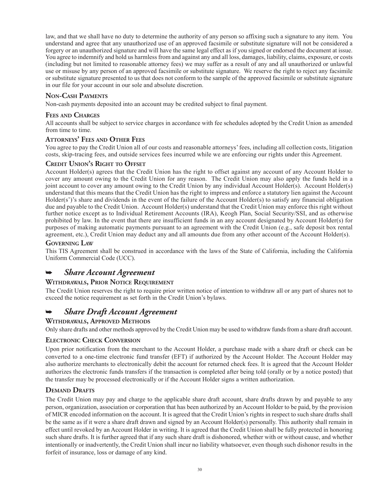law, and that we shall have no duty to determine the authority of any person so affixing such a signature to any item. You understand and agree that any unauthorized use of an approved facsimile or substitute signature will not be considered a forgery or an unauthorized signature and will have the same legal effect as if you signed or endorsed the document at issue. You agree to indemnify and hold us harmless from and against any and all loss, damages, liability, claims, exposure, or costs (including but not limited to reasonable attorney fees) we may suffer as a result of any and all unauthorized or unlawful use or misuse by any person of an approved facsimile or substitute signature. We reserve the right to reject any facsimile or substitute signature presented to us that does not conform to the sample of the approved facsimile or substitute signature in our file for your account in our sole and absolute discretion.

#### **Non-Cash Payments**

Non-cash payments deposited into an account may be credited subject to final payment.

#### **Fees and Charges**

All accounts shall be subject to service charges in accordance with fee schedules adopted by the Credit Union as amended from time to time.

#### **Attorneys' Fees and Other Fees**

You agree to pay the Credit Union all of our costs and reasonable attorneys' fees, including all collection costs, litigation costs, skip-tracing fees, and outside services fees incurred while we are enforcing our rights under this Agreement.

#### **Credit Union's Right to Offset**

Account Holder(s) agrees that the Credit Union has the right to offset against any account of any Account Holder to cover any amount owing to the Credit Union for any reason. The Credit Union may also apply the funds held in a joint account to cover any amount owing to the Credit Union by any individual Account Holder(s). Account Holder(s) understand that this means that the Credit Union has the right to impress and enforce a statutory lien against the Account Holder(s')'s share and dividends in the event of the failure of the Account Holder(s) to satisfy any financial obligation due and payable to the Credit Union. Account Holder(s) understand that the Credit Union may enforce this right without further notice except as to Individual Retirement Accounts (IRA), Keogh Plan, Social Security/SSI, and as otherwise prohibited by law. In the event that there are insufficient funds in an any account designated by Account Holder(s) for purposes of making automatic payments pursuant to an agreement with the Credit Union (e.g., safe deposit box rental agreement, etc.), Credit Union may deduct any and all amounts due from any other account of the Account Holder(s).

#### **Governing Law**

This TIS Agreement shall be construed in accordance with the laws of the State of California, including the California Uniform Commercial Code (UCC).

### *Share Account Agreement*

#### **Withdrawals, Prior Notice Requirement**

The Credit Union reserves the right to require prior written notice of intention to withdraw all or any part of shares not to exceed the notice requirement as set forth in the Credit Union's bylaws.

### *Share Draft Account Agreement*

#### **Withdrawals, Approved Methods**

Only share drafts and other methods approved by the Credit Union may be used to withdraw funds from a share draft account.

#### **Electronic Check Conversion**

Upon prior notification from the merchant to the Account Holder, a purchase made with a share draft or check can be converted to a one-time electronic fund transfer (EFT) if authorized by the Account Holder. The Account Holder may also authorize merchants to electronically debit the account for returned check fees. It is agreed that the Account Holder authorizes the electronic funds transfers if the transaction is completed after being told (orally or by a notice posted) that the transfer may be processed electronically or if the Account Holder signs a written authorization.

#### **Demand Drafts**

The Credit Union may pay and charge to the applicable share draft account, share drafts drawn by and payable to any person, organization, association or corporation that has been authorized by an Account Holder to be paid, by the provision of MICR encoded information on the account. It is agreed that the Credit Union's rights in respect to such share drafts shall be the same as if it were a share draft drawn and signed by an Account Holder(s) personally. This authority shall remain in effect until revoked by an Account Holder in writing. It is agreed that the Credit Union shall be fully protected in honoring such share drafts. It is further agreed that if any such share draft is dishonored, whether with or without cause, and whether intentionally or inadvertently, the Credit Union shall incur no liability whatsoever, even though such dishonor results in the forfeit of insurance, loss or damage of any kind.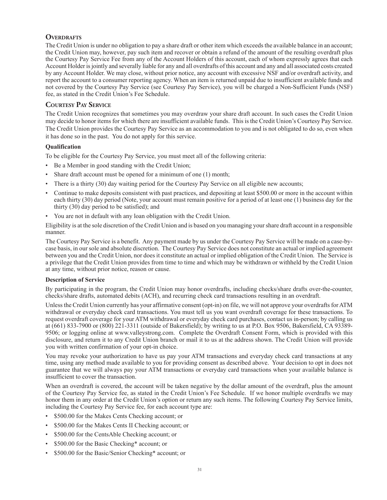#### **OVERDRAFTS**

The Credit Union is under no obligation to pay a share draft or other item which exceeds the available balance in an account; the Credit Union may, however, pay such item and recover or obtain a refund of the amount of the resulting overdraft plus the Courtesy Pay Service Fee from any of the Account Holders of this account, each of whom expressly agrees that each Account Holder is jointly and severally liable for any and all overdrafts of this account and any and all associated costs created by any Account Holder. We may close, without prior notice, any account with excessive NSF and/or overdraft activity, and report the account to a consumer reporting agency. When an item is returned unpaid due to insufficient available funds and not covered by the Courtesy Pay Service (see Courtesy Pay Service), you will be charged a Non-Sufficient Funds (NSF) fee, as stated in the Credit Union's Fee Schedule.

#### **Courtesy Pay Service**

The Credit Union recognizes that sometimes you may overdraw your share draft account. In such cases the Credit Union may decide to honor items for which there are insufficient available funds. This is the Credit Union's Courtesy Pay Service. The Credit Union provides the Courtesy Pay Service as an accommodation to you and is not obligated to do so, even when it has done so in the past. You do not apply for this service.

#### **Qualification**

To be eligible for the Courtesy Pay Service, you must meet all of the following criteria:

- Be a Member in good standing with the Credit Union;
- Share draft account must be opened for a minimum of one (1) month;
- There is a thirty (30) day waiting period for the Courtesy Pay Service on all eligible new accounts;
- Continue to make deposits consistent with past practices, and depositing at least \$500.00 or more in the account within each thirty (30) day period (Note, your account must remain positive for a period of at least one (1) business day for the thirty (30) day period to be satisfied); and
- You are not in default with any loan obligation with the Credit Union.

Eligibility is at the sole discretion of the Credit Union and is based on you managing your share draft account in a responsible manner.

The Courtesy Pay Service is a benefit. Any payment made by us under the Courtesy Pay Service will be made on a case-bycase basis, in our sole and absolute discretion. The Courtesy Pay Service does not constitute an actual or implied agreement between you and the Credit Union, nor does it constitute an actual or implied obligation of the Credit Union. The Service is a privilege that the Credit Union provides from time to time and which may be withdrawn or withheld by the Credit Union at any time, without prior notice, reason or cause.

#### **Description of Service**

By participating in the program, the Credit Union may honor overdrafts, including checks/share drafts over-the-counter, checks/share drafts, automated debits (ACH), and recurring check card transactions resulting in an overdraft.

Unless the Credit Union currently has your affirmative consent (opt-in) on file, we will not approve your overdrafts for ATM withdrawal or everyday check card transactions. You must tell us you want overdraft coverage for these transactions. To request overdraft coverage for your ATM withdrawal or everyday check card purchases, contact us in-person; by calling us at (661) 833-7900 or (800) 221-3311 (outside of Bakersfield); by writing to us at P.O. Box 9506, Bakersfield, CA 93389- 9506; or logging online at www.valleystrong.com. Complete the Overdraft Consent Form, which is provided with this disclosure, and return it to any Credit Union branch or mail it to us at the address shown. The Credit Union will provide you with written confirmation of your opt-in choice.

You may revoke your authorization to have us pay your ATM transactions and everyday check card transactions at any time, using any method made available to you for providing consent as described above. Your decision to opt in does not guarantee that we will always pay your ATM transactions or everyday card transactions when your available balance is insufficient to cover the transaction.

When an overdraft is covered, the account will be taken negative by the dollar amount of the overdraft, plus the amount of the Courtesy Pay Service fee, as stated in the Credit Union's Fee Schedule. If we honor multiple overdrafts we may honor them in any order at the Credit Union's option or return any such items. The following Courtesy Pay Service limits, including the Courtesy Pay Service fee, for each account type are:

- \$500.00 for the Makes Cents Checking account; or
- \$500.00 for the Makes Cents II Checking account; or
- \$500.00 for the CentsAble Checking account; or
- \$500.00 for the Basic Checking\* account; or
- \$500.00 for the Basic/Senior Checking\* account; or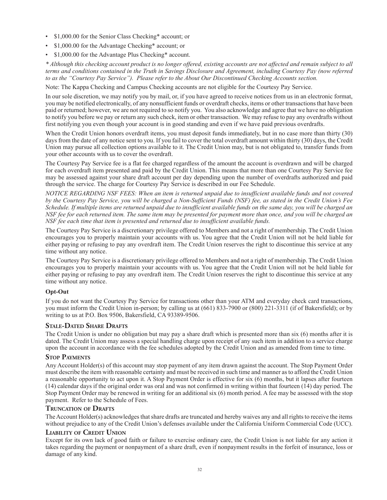- \$1,000.00 for the Senior Class Checking\* account; or
- \$1,000.00 for the Advantage Checking\* account; or
- \$1,000.00 for the Advantage Plus Checking\* account.

*\* Although this checking account product is no longer offered, existing accounts are not affected and remain subject to all terms and conditions contained in the Truth in Savings Disclosure and Agreement, including Courtesy Pay (now referred to as the "Courtesy Pay Service"). Please refer to the About Our Discontinued Checking Accounts section.* 

Note: The Kappa Checking and Campus Checking accounts are not eligible for the Courtesy Pay Service.

In our sole discretion, we may notify you by mail, or, if you have agreed to receive notices from us in an electronic format, you may be notified electronically, of any nonsufficient funds or overdraft checks, items or other transactions that have been paid or returned; however, we are not required to so notify you. You also acknowledge and agree that we have no obligation to notify you before we pay or return any such check, item or other transaction. We may refuse to pay any overdrafts without first notifying you even though your account is in good standing and even if we have paid previous overdrafts.

When the Credit Union honors overdraft items, you must deposit funds immediately, but in no case more than thirty (30) days from the date of any notice sent to you. If you fail to cover the total overdraft amount within thirty (30) days, the Credit Union may pursue all collection options available to it. The Credit Union may, but is not obligated to, transfer funds from your other accounts with us to cover the overdraft.

The Courtesy Pay Service fee is a flat fee charged regardless of the amount the account is overdrawn and will be charged for each overdraft item presented and paid by the Credit Union. This means that more than one Courtesy Pay Service fee may be assessed against your share draft account per day depending upon the number of overdrafts authorized and paid through the service. The charge for Courtesy Pay Service is described in our Fee Schedule.

*NOTICE REGARDING NSF FEES: When an item is returned unpaid due to insufficient available funds and not covered by the Courtesy Pay Service, you will be charged a Non-Sufficient Funds (NSF) fee, as stated in the Credit Union's Fee Schedule. If multiple items are returned unpaid due to insufficient available funds on the same day, you will be charged an NSF fee for each returned item. The same item may be presented for payment more than once, and you will be charged an NSF fee each time that item is presented and returned due to insufficient available funds.*

The Courtesy Pay Service is a discretionary privilege offered to Members and not a right of membership. The Credit Union encourages you to properly maintain your accounts with us. You agree that the Credit Union will not be held liable for either paying or refusing to pay any overdraft item. The Credit Union reserves the right to discontinue this service at any time without any notice.

The Courtesy Pay Service is a discretionary privilege offered to Members and not a right of membership. The Credit Union encourages you to properly maintain your accounts with us. You agree that the Credit Union will not be held liable for either paying or refusing to pay any overdraft item. The Credit Union reserves the right to discontinue this service at any time without any notice.

#### **Opt-Out**

If you do not want the Courtesy Pay Service for transactions other than your ATM and everyday check card transactions, you must inform the Credit Union in-person; by calling us at (661) 833-7900 or (800) 221-3311 (if of Bakersfield); or by writing to us at P.O. Box 9506, Bakersfield, CA 93389-9506.

#### **Stale-Dated Share Drafts**

The Credit Union is under no obligation but may pay a share draft which is presented more than six (6) months after it is dated. The Credit Union may assess a special handling charge upon receipt of any such item in addition to a service charge upon the account in accordance with the fee schedules adopted by the Credit Union and as amended from time to time.

#### **Stop Payments**

Any Account Holder(s) of this account may stop payment of any item drawn against the account. The Stop Payment Order must describe the item with reasonable certainty and must be received in such time and manner as to afford the Credit Union a reasonable opportunity to act upon it. A Stop Payment Order is effective for six (6) months, but it lapses after fourteen (14) calendar days if the original order was oral and was not confirmed in writing within that fourteen (14) day period. The Stop Payment Order may be renewed in writing for an additional six (6) month period. A fee may be assessed with the stop payment. Refer to the Schedule of Fees.

#### **Truncation of Drafts**

The Account Holder(s) acknowledges that share drafts are truncated and hereby waives any and all rights to receive the items without prejudice to any of the Credit Union's defenses available under the California Uniform Commercial Code (UCC).

#### **Liability of Credit Union**

Except for its own lack of good faith or failure to exercise ordinary care, the Credit Union is not liable for any action it takes regarding the payment or nonpayment of a share draft, even if nonpayment results in the forfeit of insurance, loss or damage of any kind.